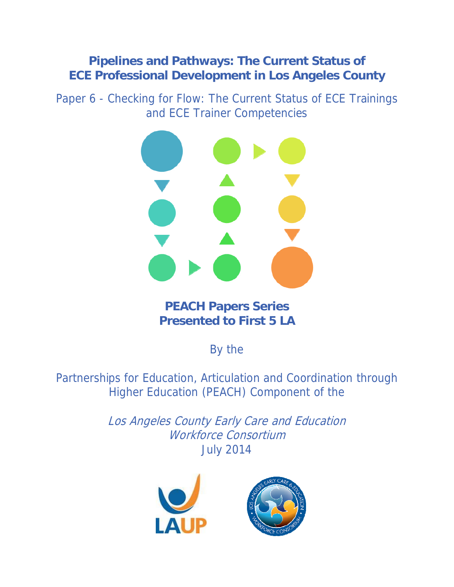# **Pipelines and Pathways: The Current Status of ECE Professional Development in Los Angeles County**

Paper 6 - Checking for Flow: The Current Status of ECE Trainings and ECE Trainer Competencies



**PEACH Papers Series Presented to First 5 LA** 

By the

Partnerships for Education, Articulation and Coordination through Higher Education (PEACH) Component of the

> Los Angeles County Early Care and Education Workforce Consortium July 2014



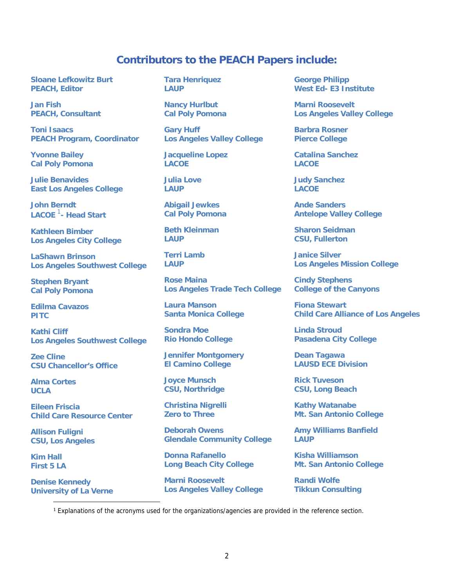## **Contributors to the PEACH Papers include:**

**Sloane Lefkowitz Burt PEACH, Editor** 

**Jan Fish PEACH, Consultant** 

**Toni Isaacs PEACH Program, Coordinator** 

**Yvonne Bailey Cal Poly Pomona** 

**Julie Benavides East Los Angeles College** 

**John Berndt LACOE** <sup>1</sup> **- Head Start** 

**Kathleen Bimber Los Angeles City College** 

**LaShawn Brinson Los Angeles Southwest College** 

**Stephen Bryant Cal Poly Pomona** 

**Edilma Cavazos PITC** 

**Kathi Cliff Los Angeles Southwest College** 

**Zee Cline CSU Chancellor's Office** 

**Alma Cortes UCLA** 

**Eileen Friscia Child Care Resource Center** 

**Allison Fuligni CSU, Los Angeles** 

**Kim Hall First 5 LA** 

 $\overline{a}$ 

**Denise Kennedy University of La Verne**  **Tara Henriquez LAUP** 

**Nancy Hurlbut Cal Poly Pomona** 

**Gary Huff Los Angeles Valley College** 

**Jacqueline Lopez LACOE** 

**Julia Love LAUP** 

**Abigail Jewkes Cal Poly Pomona** 

**Beth Kleinman LAUP** 

**Terri Lamb LAUP** 

**Rose Maina Los Angeles Trade Tech College** 

**Laura Manson Santa Monica College** 

**Sondra Moe Rio Hondo College** 

**Jennifer Montgomery El Camino College** 

**Joyce Munsch CSU, Northridge** 

**Christina Nigrelli Zero to Three** 

**Deborah Owens Glendale Community College** 

**Donna Rafanello Long Beach City College** 

**Marni Roosevelt Los Angeles Valley College** 

**George Philipp West Ed- E3 Institute** 

**Marni Roosevelt Los Angeles Valley College** 

**Barbra Rosner Pierce College** 

**Catalina Sanchez LACOE** 

**Judy Sanchez LACOE** 

**Ande Sanders Antelope Valley College** 

**Sharon Seidman CSU, Fullerton** 

**Janice Silver Los Angeles Mission College** 

**Cindy Stephens College of the Canyons** 

**Fiona Stewart Child Care Alliance of Los Angeles** 

**Linda Stroud Pasadena City College** 

**Dean Tagawa LAUSD ECE Division** 

**Rick Tuveson CSU, Long Beach** 

**Kathy Watanabe Mt. San Antonio College** 

**Amy Williams Banfield LAUP** 

**Kisha Williamson Mt. San Antonio College** 

**Randi Wolfe Tikkun Consulting** 

<sup>1</sup> Explanations of the acronyms used for the organizations/agencies are provided in the reference section.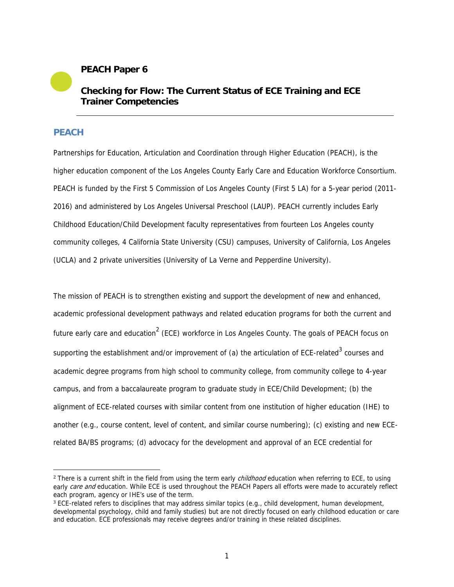## **PEACH Paper 6**

## **Checking for Flow: The Current Status of ECE Training and ECE Trainer Competencies**

## **PEACH**

 $\overline{a}$ 

Partnerships for Education, Articulation and Coordination through Higher Education (PEACH), is the higher education component of the Los Angeles County Early Care and Education Workforce Consortium. PEACH is funded by the First 5 Commission of Los Angeles County (First 5 LA) for a 5-year period (2011- 2016) and administered by Los Angeles Universal Preschool (LAUP). PEACH currently includes Early Childhood Education/Child Development faculty representatives from fourteen Los Angeles county community colleges, 4 California State University (CSU) campuses, University of California, Los Angeles (UCLA) and 2 private universities (University of La Verne and Pepperdine University).

The mission of PEACH is to strengthen existing and support the development of new and enhanced, academic professional development pathways and related education programs for both the current and future early care and education<sup>2</sup> (ECE) workforce in Los Angeles County. The goals of PEACH focus on supporting the establishment and/or improvement of (a) the articulation of ECE-related<sup>3</sup> courses and academic degree programs from high school to community college, from community college to 4-year campus, and from a baccalaureate program to graduate study in ECE/Child Development; (b) the alignment of ECE-related courses with similar content from one institution of higher education (IHE) to another (e.g., course content, level of content, and similar course numbering); (c) existing and new ECErelated BA/BS programs; (d) advocacy for the development and approval of an ECE credential for

<sup>&</sup>lt;sup>2</sup> There is a current shift in the field from using the term early *childhood* education when referring to ECE, to using early care and education. While ECE is used throughout the PEACH Papers all efforts were made to accurately reflect each program, agency or IHE's use of the term.

<sup>3</sup> ECE-related refers to disciplines that may address similar topics (e.g., child development, human development, developmental psychology, child and family studies) but are not directly focused on early childhood education or care and education. ECE professionals may receive degrees and/or training in these related disciplines.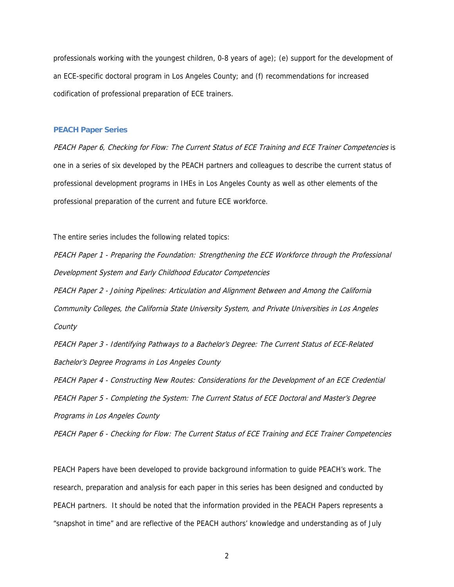professionals working with the youngest children, 0-8 years of age); (e) support for the development of an ECE-specific doctoral program in Los Angeles County; and (f) recommendations for increased codification of professional preparation of ECE trainers.

#### **PEACH Paper Series**

PEACH Paper 6, Checking for Flow: The Current Status of ECE Training and ECE Trainer Competencies is one in a series of six developed by the PEACH partners and colleagues to describe the current status of professional development programs in IHEs in Los Angeles County as well as other elements of the professional preparation of the current and future ECE workforce.

The entire series includes the following related topics:

PEACH Paper 1 - Preparing the Foundation: Strengthening the ECE Workforce through the Professional Development System and Early Childhood Educator Competencies

PEACH Paper 2 - Joining Pipelines: Articulation and Alignment Between and Among the California Community Colleges, the California State University System, and Private Universities in Los Angeles **County** 

PEACH Paper 3 - Identifying Pathways to a Bachelor's Degree: The Current Status of ECE-Related Bachelor's Degree Programs in Los Angeles County

PEACH Paper 4 - Constructing New Routes: Considerations for the Development of an ECE Credential PEACH Paper 5 - Completing the System: The Current Status of ECE Doctoral and Master's Degree Programs in Los Angeles County

PEACH Paper 6 - Checking for Flow: The Current Status of ECE Training and ECE Trainer Competencies

PEACH Papers have been developed to provide background information to guide PEACH's work. The research, preparation and analysis for each paper in this series has been designed and conducted by PEACH partners. It should be noted that the information provided in the PEACH Papers represents a "snapshot in time" and are reflective of the PEACH authors' knowledge and understanding as of July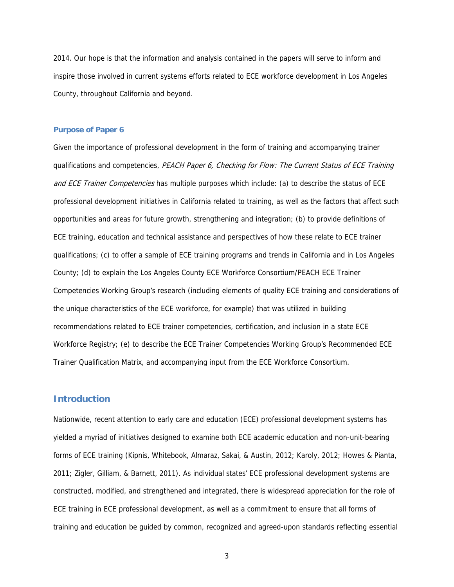2014. Our hope is that the information and analysis contained in the papers will serve to inform and inspire those involved in current systems efforts related to ECE workforce development in Los Angeles County, throughout California and beyond.

#### **Purpose of Paper 6**

Given the importance of professional development in the form of training and accompanying trainer qualifications and competencies, PEACH Paper 6, Checking for Flow: The Current Status of ECE Training and ECE Trainer Competencies has multiple purposes which include: (a) to describe the status of ECE professional development initiatives in California related to training, as well as the factors that affect such opportunities and areas for future growth, strengthening and integration; (b) to provide definitions of ECE training, education and technical assistance and perspectives of how these relate to ECE trainer qualifications; (c) to offer a sample of ECE training programs and trends in California and in Los Angeles County; (d) to explain the Los Angeles County ECE Workforce Consortium/PEACH ECE Trainer Competencies Working Group's research (including elements of quality ECE training and considerations of the unique characteristics of the ECE workforce, for example) that was utilized in building recommendations related to ECE trainer competencies, certification, and inclusion in a state ECE Workforce Registry; (e) to describe the ECE Trainer Competencies Working Group's Recommended ECE Trainer Qualification Matrix, and accompanying input from the ECE Workforce Consortium.

## **Introduction**

Nationwide, recent attention to early care and education (ECE) professional development systems has yielded a myriad of initiatives designed to examine both ECE academic education and non-unit-bearing forms of ECE training (Kipnis, Whitebook, Almaraz, Sakai, & Austin, 2012; Karoly, 2012; Howes & Pianta, 2011; Zigler, Gilliam, & Barnett, 2011). As individual states' ECE professional development systems are constructed, modified, and strengthened and integrated, there is widespread appreciation for the role of ECE training in ECE professional development, as well as a commitment to ensure that all forms of training and education be guided by common, recognized and agreed-upon standards reflecting essential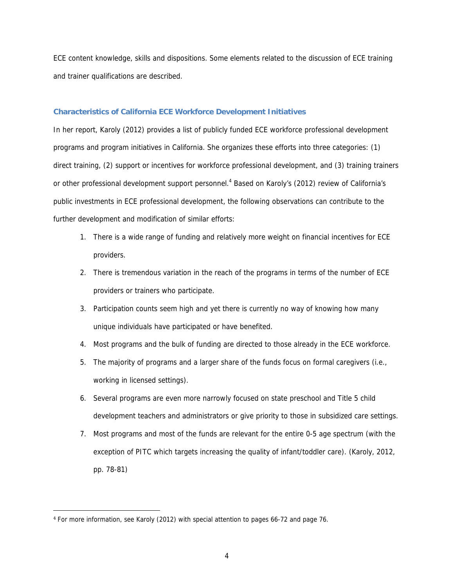ECE content knowledge, skills and dispositions. Some elements related to the discussion of ECE training and trainer qualifications are described.

#### **Characteristics of California ECE Workforce Development Initiatives**

In her report, Karoly (2012) provides a list of publicly funded ECE workforce professional development programs and program initiatives in California. She organizes these efforts into three categories: (1) direct training, (2) support or incentives for workforce professional development, and (3) training trainers or other professional development support personnel.<sup>4</sup> Based on Karoly's (2012) review of California's public investments in ECE professional development, the following observations can contribute to the further development and modification of similar efforts:

- 1. There is a wide range of funding and relatively more weight on financial incentives for ECE providers.
- 2. There is tremendous variation in the reach of the programs in terms of the number of ECE providers or trainers who participate.
- 3. Participation counts seem high and yet there is currently no way of knowing how many unique individuals have participated or have benefited.
- 4. Most programs and the bulk of funding are directed to those already in the ECE workforce.
- 5. The majority of programs and a larger share of the funds focus on formal caregivers (i.e., working in licensed settings).
- 6. Several programs are even more narrowly focused on state preschool and Title 5 child development teachers and administrators or give priority to those in subsidized care settings.
- 7. Most programs and most of the funds are relevant for the entire 0-5 age spectrum (with the exception of PITC which targets increasing the quality of infant/toddler care). (Karoly, 2012, pp. 78-81)

 $\overline{a}$ 

<sup>4</sup> For more information, see Karoly (2012) with special attention to pages 66-72 and page 76.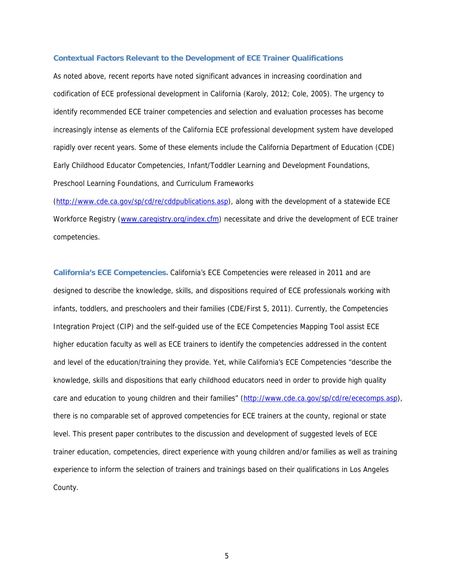#### **Contextual Factors Relevant to the Development of ECE Trainer Qualifications**

As noted above, recent reports have noted significant advances in increasing coordination and codification of ECE professional development in California (Karoly, 2012; Cole, 2005). The urgency to identify recommended ECE trainer competencies and selection and evaluation processes has become increasingly intense as elements of the California ECE professional development system have developed rapidly over recent years. Some of these elements include the California Department of Education (CDE) Early Childhood Educator Competencies, Infant/Toddler Learning and Development Foundations, Preschool Learning Foundations, and Curriculum Frameworks

(http://www.cde.ca.gov/sp/cd/re/cddpublications.asp), along with the development of a statewide ECE Workforce Registry (www.caregistry.org/index.cfm) necessitate and drive the development of ECE trainer competencies.

**California's ECE Competencies.** California's ECE Competencies were released in 2011 and are designed to describe the knowledge, skills, and dispositions required of ECE professionals working with infants, toddlers, and preschoolers and their families (CDE/First 5, 2011). Currently, the Competencies Integration Project (CIP) and the self-guided use of the ECE Competencies Mapping Tool assist ECE higher education faculty as well as ECE trainers to identify the competencies addressed in the content and level of the education/training they provide. Yet, while California's ECE Competencies "describe the knowledge, skills and dispositions that early childhood educators need in order to provide high quality care and education to young children and their families" (http://www.cde.ca.gov/sp/cd/re/ececomps.asp), there is no comparable set of approved competencies for ECE trainers at the county, regional or state level. This present paper contributes to the discussion and development of suggested levels of ECE trainer education, competencies, direct experience with young children and/or families as well as training experience to inform the selection of trainers and trainings based on their qualifications in Los Angeles County.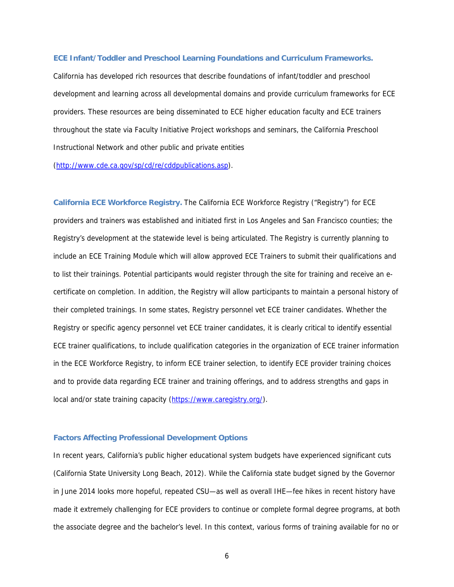#### **ECE Infant/Toddler and Preschool Learning Foundations and Curriculum Frameworks.**

California has developed rich resources that describe foundations of infant/toddler and preschool development and learning across all developmental domains and provide curriculum frameworks for ECE providers. These resources are being disseminated to ECE higher education faculty and ECE trainers throughout the state via Faculty Initiative Project workshops and seminars, the California Preschool Instructional Network and other public and private entities

(http://www.cde.ca.gov/sp/cd/re/cddpublications.asp).

**California ECE Workforce Registry.** The California ECE Workforce Registry ("Registry") for ECE providers and trainers was established and initiated first in Los Angeles and San Francisco counties; the Registry's development at the statewide level is being articulated. The Registry is currently planning to include an ECE Training Module which will allow approved ECE Trainers to submit their qualifications and to list their trainings. Potential participants would register through the site for training and receive an ecertificate on completion. In addition, the Registry will allow participants to maintain a personal history of their completed trainings. In some states, Registry personnel vet ECE trainer candidates. Whether the Registry or specific agency personnel vet ECE trainer candidates, it is clearly critical to identify essential ECE trainer qualifications, to include qualification categories in the organization of ECE trainer information in the ECE Workforce Registry, to inform ECE trainer selection, to identify ECE provider training choices and to provide data regarding ECE trainer and training offerings, and to address strengths and gaps in local and/or state training capacity (https://www.caregistry.org/).

#### **Factors Affecting Professional Development Options**

In recent years, California's public higher educational system budgets have experienced significant cuts (California State University Long Beach, 2012). While the California state budget signed by the Governor in June 2014 looks more hopeful, repeated CSU—as well as overall IHE—fee hikes in recent history have made it extremely challenging for ECE providers to continue or complete formal degree programs, at both the associate degree and the bachelor's level. In this context, various forms of training available for no or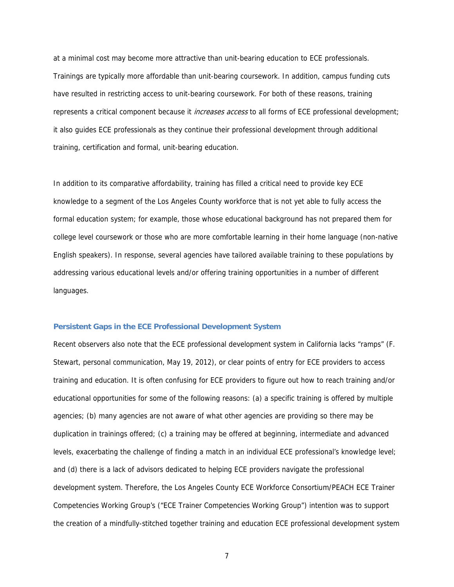at a minimal cost may become more attractive than unit-bearing education to ECE professionals. Trainings are typically more affordable than unit-bearing coursework. In addition, campus funding cuts have resulted in restricting access to unit-bearing coursework. For both of these reasons, training represents a critical component because it *increases access* to all forms of ECE professional development; it also guides ECE professionals as they continue their professional development through additional training, certification and formal, unit-bearing education.

In addition to its comparative affordability, training has filled a critical need to provide key ECE knowledge to a segment of the Los Angeles County workforce that is not yet able to fully access the formal education system; for example, those whose educational background has not prepared them for college level coursework or those who are more comfortable learning in their home language (non-native English speakers). In response, several agencies have tailored available training to these populations by addressing various educational levels and/or offering training opportunities in a number of different languages.

#### **Persistent Gaps in the ECE Professional Development System**

Recent observers also note that the ECE professional development system in California lacks "ramps" (F. Stewart, personal communication, May 19, 2012), or clear points of entry for ECE providers to access training and education. It is often confusing for ECE providers to figure out how to reach training and/or educational opportunities for some of the following reasons: (a) a specific training is offered by multiple agencies; (b) many agencies are not aware of what other agencies are providing so there may be duplication in trainings offered; (c) a training may be offered at beginning, intermediate and advanced levels, exacerbating the challenge of finding a match in an individual ECE professional's knowledge level; and (d) there is a lack of advisors dedicated to helping ECE providers navigate the professional development system. Therefore, the Los Angeles County ECE Workforce Consortium/PEACH ECE Trainer Competencies Working Group's ("ECE Trainer Competencies Working Group") intention was to support the creation of a mindfully-stitched together training and education ECE professional development system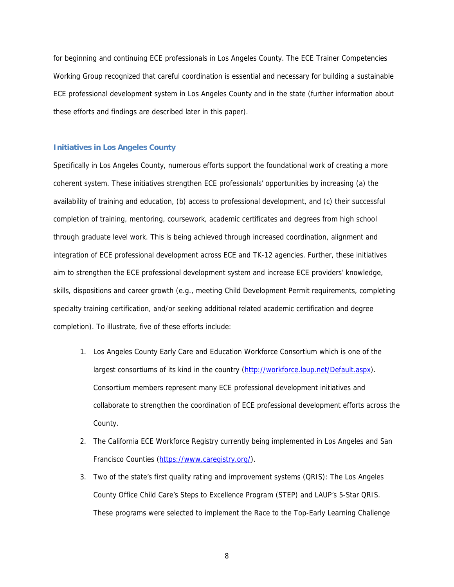for beginning and continuing ECE professionals in Los Angeles County. The ECE Trainer Competencies Working Group recognized that careful coordination is essential and necessary for building a sustainable ECE professional development system in Los Angeles County and in the state (further information about these efforts and findings are described later in this paper).

#### **Initiatives in Los Angeles County**

Specifically in Los Angeles County, numerous efforts support the foundational work of creating a more coherent system. These initiatives strengthen ECE professionals' opportunities by increasing (a) the availability of training and education, (b) access to professional development, and (c) their successful completion of training, mentoring, coursework, academic certificates and degrees from high school through graduate level work. This is being achieved through increased coordination, alignment and integration of ECE professional development across ECE and TK-12 agencies. Further, these initiatives aim to strengthen the ECE professional development system and increase ECE providers' knowledge, skills, dispositions and career growth (e.g., meeting Child Development Permit requirements, completing specialty training certification, and/or seeking additional related academic certification and degree completion). To illustrate, five of these efforts include:

- 1. Los Angeles County Early Care and Education Workforce Consortium which is one of the largest consortiums of its kind in the country (http://workforce.laup.net/Default.aspx). Consortium members represent many ECE professional development initiatives and collaborate to strengthen the coordination of ECE professional development efforts across the County.
- 2. The California ECE Workforce Registry currently being implemented in Los Angeles and San Francisco Counties (https://www.caregistry.org/).
- 3. Two of the state's first quality rating and improvement systems (QRIS): The Los Angeles County Office Child Care's Steps to Excellence Program (STEP) and LAUP's 5-Star QRIS. These programs were selected to implement the Race to the Top-Early Learning Challenge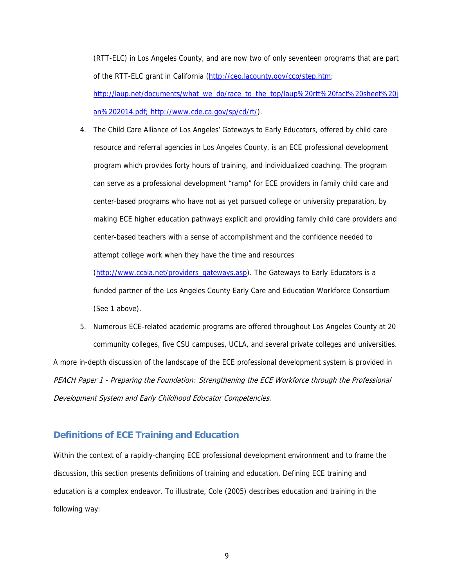(RTT-ELC) in Los Angeles County, and are now two of only seventeen programs that are part of the RTT-ELC grant in California (http://ceo.lacounty.gov/ccp/step.htm;

http://laup.net/documents/what\_we\_do/race\_to\_the\_top/laup%20rtt%20fact%20sheet%20j an%202014.pdf; http://www.cde.ca.gov/sp/cd/rt/).

4. The Child Care Alliance of Los Angeles' Gateways to Early Educators, offered by child care resource and referral agencies in Los Angeles County, is an ECE professional development program which provides forty hours of training, and individualized coaching. The program can serve as a professional development "ramp" for ECE providers in family child care and center-based programs who have not as yet pursued college or university preparation, by making ECE higher education pathways explicit and providing family child care providers and center-based teachers with a sense of accomplishment and the confidence needed to attempt college work when they have the time and resources

(http://www.ccala.net/providers\_gateways.asp). The Gateways to Early Educators is a funded partner of the Los Angeles County Early Care and Education Workforce Consortium (See 1 above).

5. Numerous ECE-related academic programs are offered throughout Los Angeles County at 20 community colleges, five CSU campuses, UCLA, and several private colleges and universities. A more in-depth discussion of the landscape of the ECE professional development system is provided in PEACH Paper 1 - Preparing the Foundation: Strengthening the ECE Workforce through the Professional Development System and Early Childhood Educator Competencies.

## **Definitions of ECE Training and Education**

Within the context of a rapidly-changing ECE professional development environment and to frame the discussion, this section presents definitions of training and education. Defining ECE training and education is a complex endeavor. To illustrate, Cole (2005) describes education and training in the following way: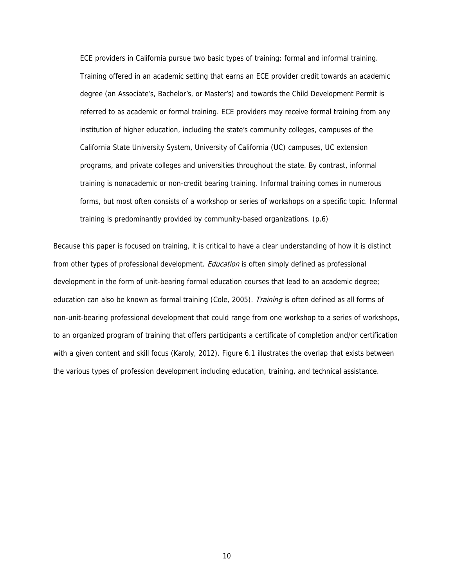ECE providers in California pursue two basic types of training: formal and informal training. Training offered in an academic setting that earns an ECE provider credit towards an academic degree (an Associate's, Bachelor's, or Master's) and towards the Child Development Permit is referred to as academic or formal training. ECE providers may receive formal training from any institution of higher education, including the state's community colleges, campuses of the California State University System, University of California (UC) campuses, UC extension programs, and private colleges and universities throughout the state. By contrast, informal training is nonacademic or non-credit bearing training. Informal training comes in numerous forms, but most often consists of a workshop or series of workshops on a specific topic. Informal training is predominantly provided by community-based organizations. (p.6)

Because this paper is focused on training, it is critical to have a clear understanding of how it is distinct from other types of professional development. *Education* is often simply defined as professional development in the form of unit-bearing formal education courses that lead to an academic degree; education can also be known as formal training (Cole, 2005). Training is often defined as all forms of non-unit-bearing professional development that could range from one workshop to a series of workshops, to an organized program of training that offers participants a certificate of completion and/or certification with a given content and skill focus (Karoly, 2012). Figure 6.1 illustrates the overlap that exists between the various types of profession development including education, training, and technical assistance.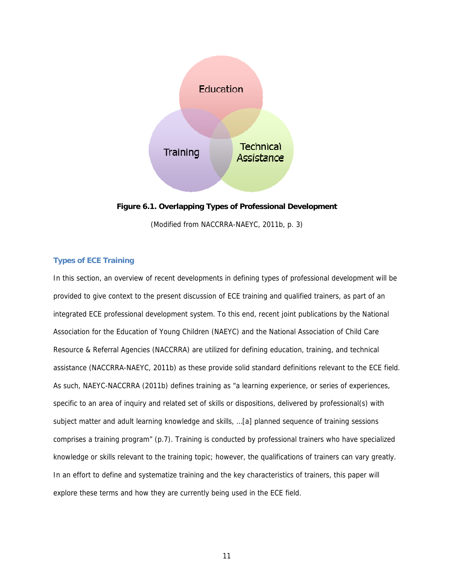

**Figure 6.1. Overlapping Types of Professional Development**

(Modified from NACCRRA-NAEYC, 2011b, p. 3)

## **Types of ECE Training**

In this section, an overview of recent developments in defining types of professional development will be provided to give context to the present discussion of ECE training and qualified trainers, as part of an integrated ECE professional development system. To this end, recent joint publications by the National Association for the Education of Young Children (NAEYC) and the National Association of Child Care Resource & Referral Agencies (NACCRRA) are utilized for defining education, training, and technical assistance (NACCRRA-NAEYC, 2011b) as these provide solid standard definitions relevant to the ECE field. As such, NAEYC-NACCRRA (2011b) defines training as "a learning experience, or series of experiences, specific to an area of inquiry and related set of skills or dispositions, delivered by professional(s) with subject matter and adult learning knowledge and skills, …[a] planned sequence of training sessions comprises a training program" (p.7). Training is conducted by professional trainers who have specialized knowledge or skills relevant to the training topic; however, the qualifications of trainers can vary greatly. In an effort to define and systematize training and the key characteristics of trainers, this paper will explore these terms and how they are currently being used in the ECE field.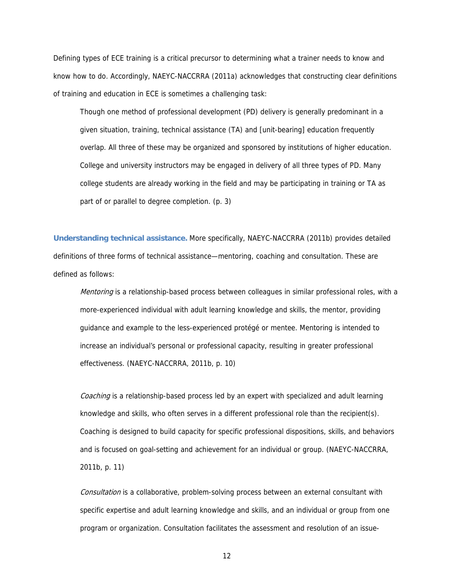Defining types of ECE training is a critical precursor to determining what a trainer needs to know and know how to do. Accordingly, NAEYC-NACCRRA (2011a) acknowledges that constructing clear definitions of training and education in ECE is sometimes a challenging task:

Though one method of professional development (PD) delivery is generally predominant in a given situation, training, technical assistance (TA) and [unit-bearing] education frequently overlap. All three of these may be organized and sponsored by institutions of higher education. College and university instructors may be engaged in delivery of all three types of PD. Many college students are already working in the field and may be participating in training or TA as part of or parallel to degree completion. (p. 3)

**Understanding technical assistance.** More specifically, NAEYC-NACCRRA (2011b) provides detailed definitions of three forms of technical assistance—mentoring, coaching and consultation. These are defined as follows:

Mentoring is a relationship-based process between colleagues in similar professional roles, with a more-experienced individual with adult learning knowledge and skills, the mentor, providing guidance and example to the less-experienced protégé or mentee. Mentoring is intended to increase an individual's personal or professional capacity, resulting in greater professional effectiveness. (NAEYC-NACCRRA, 2011b, p. 10)

Coaching is a relationship-based process led by an expert with specialized and adult learning knowledge and skills, who often serves in a different professional role than the recipient(s). Coaching is designed to build capacity for specific professional dispositions, skills, and behaviors and is focused on goal-setting and achievement for an individual or group. (NAEYC-NACCRRA, 2011b, p. 11)

Consultation is a collaborative, problem-solving process between an external consultant with specific expertise and adult learning knowledge and skills, and an individual or group from one program or organization. Consultation facilitates the assessment and resolution of an issue-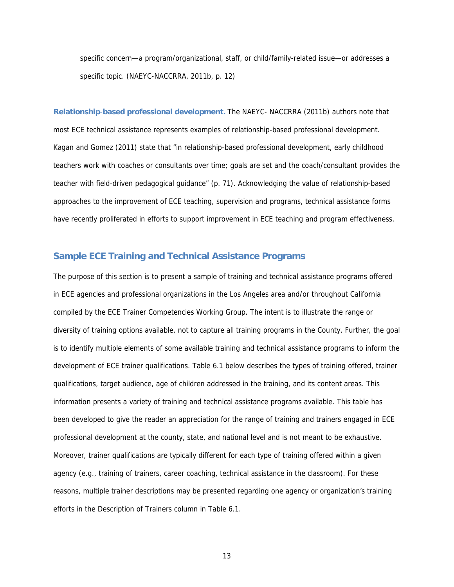specific concern—a program/organizational, staff, or child/family-related issue—or addresses a specific topic. (NAEYC-NACCRRA, 2011b, p. 12)

**Relationship**-**based professional development.** The NAEYC- NACCRRA (2011b) authors note that most ECE technical assistance represents examples of relationship-based professional development. Kagan and Gomez (2011) state that "in relationship-based professional development, early childhood teachers work with coaches or consultants over time; goals are set and the coach/consultant provides the teacher with field-driven pedagogical guidance" (p. 71). Acknowledging the value of relationship-based approaches to the improvement of ECE teaching, supervision and programs, technical assistance forms have recently proliferated in efforts to support improvement in ECE teaching and program effectiveness.

## **Sample ECE Training and Technical Assistance Programs**

The purpose of this section is to present a sample of training and technical assistance programs offered in ECE agencies and professional organizations in the Los Angeles area and/or throughout California compiled by the ECE Trainer Competencies Working Group. The intent is to illustrate the range or diversity of training options available, not to capture all training programs in the County. Further, the goal is to identify multiple elements of some available training and technical assistance programs to inform the development of ECE trainer qualifications. Table 6.1 below describes the types of training offered, trainer qualifications, target audience, age of children addressed in the training, and its content areas. This information presents a variety of training and technical assistance programs available. This table has been developed to give the reader an appreciation for the range of training and trainers engaged in ECE professional development at the county, state, and national level and is not meant to be exhaustive. Moreover, trainer qualifications are typically different for each type of training offered within a given agency (e.g., training of trainers, career coaching, technical assistance in the classroom). For these reasons, multiple trainer descriptions may be presented regarding one agency or organization's training efforts in the Description of Trainers column in Table 6.1.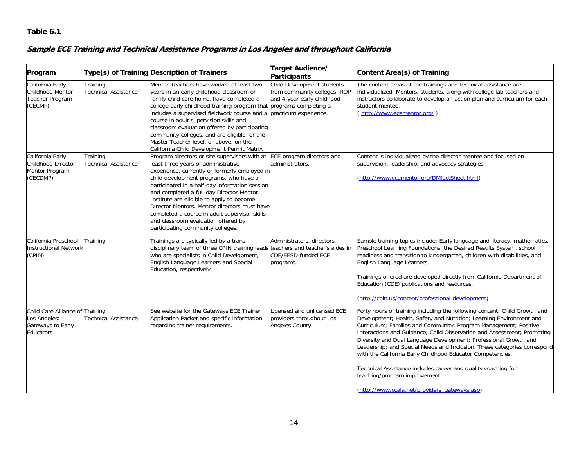#### **Table 6.1**

## **Sample ECE Training and Technical Assistance Programs in Los Angeles and throughout California**

| Program                                                                           |                                         | Type(s) of Training Description of Trainers                                                                                                                                                                                                                                                                                                                                                                                                                                                                                       | Target Audience/<br>Participants                                                         | Content Area(s) of Training                                                                                                                                                                                                                                                                                                                                                                                                                                                                                                                                                                                                                                     |
|-----------------------------------------------------------------------------------|-----------------------------------------|-----------------------------------------------------------------------------------------------------------------------------------------------------------------------------------------------------------------------------------------------------------------------------------------------------------------------------------------------------------------------------------------------------------------------------------------------------------------------------------------------------------------------------------|------------------------------------------------------------------------------------------|-----------------------------------------------------------------------------------------------------------------------------------------------------------------------------------------------------------------------------------------------------------------------------------------------------------------------------------------------------------------------------------------------------------------------------------------------------------------------------------------------------------------------------------------------------------------------------------------------------------------------------------------------------------------|
| California Early<br>Childhood Mentor<br>Teacher Program<br>(CECMP)                | Training<br><b>Technical Assistance</b> | Mentor Teachers have worked at least two<br>years in an early childhood classroom or<br>family child care home, have completed a<br>college early childhood training program that programs completing a<br>includes a supervised fieldwork course and a practicum experience.<br>course in adult supervision skills and<br>classroom evaluation offered by participating<br>community colleges, and are eligible for the<br>Master Teacher level, or above, on the<br>California Child Development Permit Matrix.                 | Child Development students<br>from community colleges, ROP<br>and 4-year early childhood | The content areas of the trainings and technical assistance are<br>individualized. Mentors, students, along with college lab teachers and<br>instructors collaborate to develop an action plan and curriculum for each<br>student mentee.<br>(http://www.ecementor.org/)                                                                                                                                                                                                                                                                                                                                                                                        |
| California Early<br>Childhood Director<br>Mentor Program<br>(CECDMP)              | Training<br><b>Technical Assistance</b> | Program directors or site supervisors with at ECE program directors and<br>least three years of administrative<br>experience, currently or formerly employed in<br>child development programs, who have a<br>participated in a half-day information session<br>and completed a full-day Director Mentor<br>Institute are eligible to apply to become<br>Director Mentors. Mentor directors must have<br>completed a course in adult supervisor skills<br>and classroom evaluation offered by<br>participating community colleges. | administrators.                                                                          | Content is individualized by the director mentee and focused on<br>supervision, leadership, and advocacy strategies.<br>(http://www.ecementor.org/DMfactSheet.html)                                                                                                                                                                                                                                                                                                                                                                                                                                                                                             |
| California Preschool<br><b>Instructional Network</b><br>(CPIN)                    | Training                                | Trainings are typically led by a trans-<br>disciplinary team of three CPIN training leads teachers and teacher's aides in<br>who are specialists in Child Development,<br>English Language Learners and Special<br>Education, respectively.                                                                                                                                                                                                                                                                                       | Administrators, directors,<br>CDE/EESD-funded ECE<br>programs.                           | Sample training topics include: Early language and literacy, mathematics,<br>Preschool Learning Foundations, the Desired Results System, school<br>readiness and transition to kindergarten, children with disabilities, and<br>English Language Learners<br>Trainings offered are developed directly from California Department of<br>Education (CDE) publications and resources.<br>(http://cpin.us/content/professional-development)                                                                                                                                                                                                                         |
| Child Care Alliance of Training<br>Los Angeles:<br>Gateways to Early<br>Educators | Technical Assistance                    | See website for the Gateways ECE Trainer<br>Application Packet and specific information<br>regarding trainer requirements.                                                                                                                                                                                                                                                                                                                                                                                                        | Licensed and unlicensed ECE<br>providers throughout Los<br>Angeles County.               | Forty hours of training including the following content: Child Growth and<br>Development; Health, Safety and Nutrition; Learning Environment and<br>Curriculum; Families and Community; Program Management; Positive<br>Interactions and Guidance; Child Observation and Assessment; Promoting<br>Diversity and Dual Language Development; Professional Growth and<br>Leadership; and Special Needs and Inclusion. These categories correspond<br>with the California Early Childhood Educator Competencies.<br>Technical Assistance includes career and quality coaching for<br>teaching/program improvement.<br>(http://www.ccala.net/providers_gateways.asp) |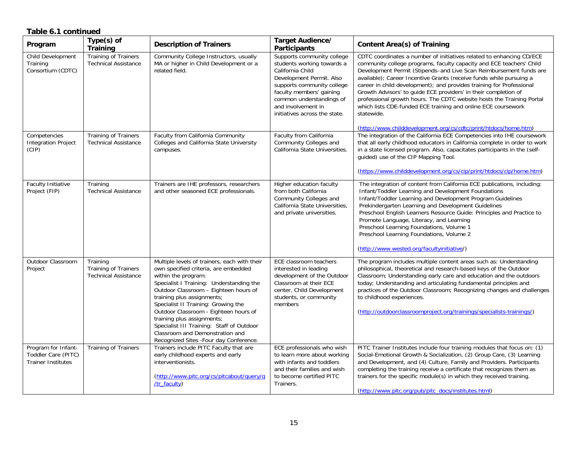#### **Table 6.1 continued**

| Program                                                                 | $Type(s)$ of<br><b>Training</b>                                        | <b>Description of Trainers</b>                                                                                                                                                                                                                                                                                                                                                                                                                                         | Target Audience/<br><b>Participants</b>                                                                                                                                                                                                               | <b>Content Area(s) of Training</b>                                                                                                                                                                                                                                                                                                                                                                                                                                                                                                                                                                                                                              |
|-------------------------------------------------------------------------|------------------------------------------------------------------------|------------------------------------------------------------------------------------------------------------------------------------------------------------------------------------------------------------------------------------------------------------------------------------------------------------------------------------------------------------------------------------------------------------------------------------------------------------------------|-------------------------------------------------------------------------------------------------------------------------------------------------------------------------------------------------------------------------------------------------------|-----------------------------------------------------------------------------------------------------------------------------------------------------------------------------------------------------------------------------------------------------------------------------------------------------------------------------------------------------------------------------------------------------------------------------------------------------------------------------------------------------------------------------------------------------------------------------------------------------------------------------------------------------------------|
| Child Development<br>Training<br>Consortium (CDTC)                      | Training of Trainers<br><b>Technical Assistance</b>                    | Community College Instructors, usually<br>MA or higher in Child Development or a<br>related field.                                                                                                                                                                                                                                                                                                                                                                     | Supports community college<br>students working towards a<br>California Child<br>Development Permit. Also<br>supports community college<br>faculty members' gaining<br>common understandings of<br>and involvement in<br>initiatives across the state. | CDTC coordinates a number of initiatives related to enhancing CD/ECE<br>community college programs, faculty capacity and ECE teachers' Child<br>Development Permit (Stipends-and Live Scan Reimbursement funds are<br>available); Career Incentive Grants (receive funds while pursuing a<br>career in child development); and provides training for Professional<br>Growth Advisors' to guide ECE providers' in their completion of<br>professional growth hours. The CDTC website hosts the Training Portal<br>which lists CDE-funded ECE training and online ECE coursework<br>statewide.<br>(http://www.childdevelopment.org/cs/cdtc/print/htdocs/home.htm) |
| Competencies<br><b>Integration Project</b><br>(CIP)                     | <b>Training of Trainers</b><br><b>Technical Assistance</b>             | Faculty from California Community<br>Colleges and California State University<br>campuses.                                                                                                                                                                                                                                                                                                                                                                             | Faculty from California<br>Community Colleges and<br>California State Universities.                                                                                                                                                                   | The integration of the California ECE Competencies into IHE coursework<br>that all early childhood educators in California complete in order to work<br>in a state licensed program. Also, capacitates participants in the (self-<br>guided) use of the CIP Mapping Tool.<br>(https://www.childdevelopment.org/cs/cip/print/htdocs/cip/home.htm)                                                                                                                                                                                                                                                                                                                |
| Faculty Initiative<br>Project (FIP)                                     | Training<br><b>Technical Assistance</b>                                | Trainers are IHE professors, researchers<br>and other seasoned ECE professionals.                                                                                                                                                                                                                                                                                                                                                                                      | Higher education faculty<br>from both California<br>Community Colleges and<br>California State Universities,<br>and private universities.                                                                                                             | The integration of content from California ECE publications, including:<br>Infant/Toddler Learning and Development Foundations<br>Infant/Toddler Learning and Development Program Guidelines<br>Prekindergarten Learning and Development Guidelines<br>Preschool English Learners Resource Guide: Principles and Practice to<br>Promote Language, Literacy, and Learning<br>Preschool Learning Foundations, Volume 1<br>Preschool Learning Foundations, Volume 2<br>(http://www.wested.org/facultyinitiative/)                                                                                                                                                  |
| Outdoor Classroom<br>Project                                            | Training<br><b>Training of Trainers</b><br><b>Technical Assistance</b> | Multiple levels of trainers, each with their<br>own specified criteria, are embedded<br>within the program:<br>Specialist I Training: Understanding the<br>Outdoor Classroom - Eighteen hours of<br>training plus assignments;<br>Specialist II Training: Growing the<br>Outdoor Classroom - Eighteen hours of<br>training plus assignments;<br>Specialist III Training: Staff of Outdoor<br>Classroom and Demonstration and<br>Recognized Sites -Four day Conference. | ECE classroom teachers<br>interested in leading<br>development of the Outdoor<br>Classroom at their ECE<br>center, Child Development<br>students, or community<br>members                                                                             | The program includes multiple content areas such as: Understanding<br>philosophical, theoretical and research-based keys of the Outdoor<br>Classroom; Understanding early care and education and the outdoors<br>today; Understanding and articulating fundamental principles and<br>practices of the Outdoor Classroom; Recognizing changes and challenges<br>to childhood experiences.<br>(http://outdoorclassroomproject.org/trainings/specialists-trainings/)                                                                                                                                                                                               |
| Program for Infant-<br>Toddler Care (PITC)<br><b>Trainer Institutes</b> | Training of Trainers                                                   | Trainers include PITC Faculty that are<br>early childhood experts and early<br>interventionists.<br>(http://www.pitc.org/cs/pitcabout/query/q<br>/tr_faculty)                                                                                                                                                                                                                                                                                                          | ECE professionals who wish<br>to learn more about working<br>with infants and toddlers<br>and their families and wish<br>to become certified PITC<br>Trainers.                                                                                        | PITC Trainer Institutes include four training modules that focus on: (1)<br>Social-Emotional Growth & Socialization, (2) Group Care, (3) Learning<br>and Development, and (4) Culture, Family and Providers. Participants<br>completing the training receive a certificate that recognizes them as<br>trainers for the specific module(s) in which they received training.<br>(http://www.pitc.org/pub/pitc_docs/institutes.html)                                                                                                                                                                                                                               |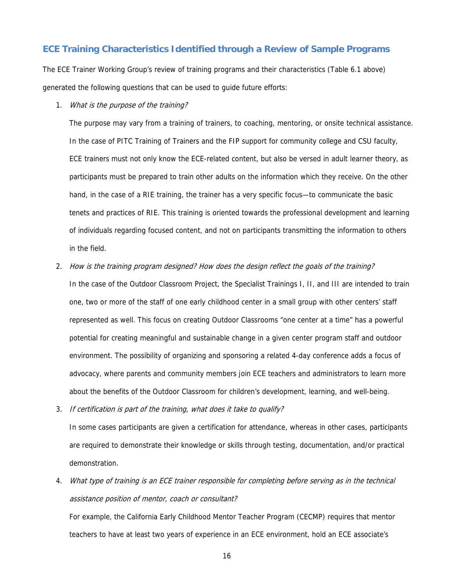## **ECE Training Characteristics Identified through a Review of Sample Programs**

The ECE Trainer Working Group's review of training programs and their characteristics (Table 6.1 above) generated the following questions that can be used to guide future efforts:

1. What is the purpose of the training?

The purpose may vary from a training of trainers, to coaching, mentoring, or onsite technical assistance. In the case of PITC Training of Trainers and the FIP support for community college and CSU faculty, ECE trainers must not only know the ECE-related content, but also be versed in adult learner theory, as participants must be prepared to train other adults on the information which they receive. On the other hand, in the case of a RIE training, the trainer has a very specific focus—to communicate the basic tenets and practices of RIE. This training is oriented towards the professional development and learning of individuals regarding focused content, and not on participants transmitting the information to others in the field.

2. How is the training program designed? How does the design reflect the goals of the training?

In the case of the Outdoor Classroom Project, the Specialist Trainings I, II, and III are intended to train one, two or more of the staff of one early childhood center in a small group with other centers' staff represented as well. This focus on creating Outdoor Classrooms "one center at a time" has a powerful potential for creating meaningful and sustainable change in a given center program staff and outdoor environment. The possibility of organizing and sponsoring a related 4-day conference adds a focus of advocacy, where parents and community members join ECE teachers and administrators to learn more about the benefits of the Outdoor Classroom for children's development, learning, and well-being.

3. If certification is part of the training, what does it take to qualify?

In some cases participants are given a certification for attendance, whereas in other cases, participants are required to demonstrate their knowledge or skills through testing, documentation, and/or practical demonstration.

4. What type of training is an ECE trainer responsible for completing before serving as in the technical assistance position of mentor, coach or consultant?

For example, the California Early Childhood Mentor Teacher Program (CECMP) requires that mentor teachers to have at least two years of experience in an ECE environment, hold an ECE associate's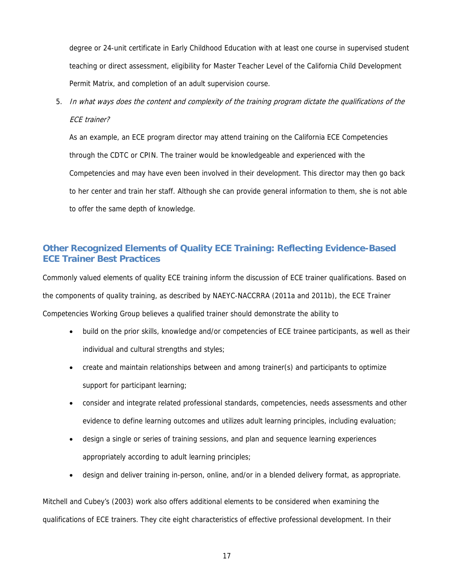degree or 24-unit certificate in Early Childhood Education with at least one course in supervised student teaching or direct assessment, eligibility for Master Teacher Level of the California Child Development Permit Matrix, and completion of an adult supervision course.

5. In what ways does the content and complexity of the training program dictate the qualifications of the ECE trainer?

As an example, an ECE program director may attend training on the California ECE Competencies through the CDTC or CPIN. The trainer would be knowledgeable and experienced with the Competencies and may have even been involved in their development. This director may then go back to her center and train her staff. Although she can provide general information to them, she is not able to offer the same depth of knowledge.

## **Other Recognized Elements of Quality ECE Training: Reflecting Evidence-Based ECE Trainer Best Practices**

Commonly valued elements of quality ECE training inform the discussion of ECE trainer qualifications. Based on the components of quality training, as described by NAEYC-NACCRRA (2011a and 2011b), the ECE Trainer Competencies Working Group believes a qualified trainer should demonstrate the ability to

- build on the prior skills, knowledge and/or competencies of ECE trainee participants, as well as their individual and cultural strengths and styles;
- create and maintain relationships between and among trainer(s) and participants to optimize support for participant learning;
- consider and integrate related professional standards, competencies, needs assessments and other evidence to define learning outcomes and utilizes adult learning principles, including evaluation;
- design a single or series of training sessions, and plan and sequence learning experiences appropriately according to adult learning principles;
- design and deliver training in-person, online, and/or in a blended delivery format, as appropriate.

Mitchell and Cubey's (2003) work also offers additional elements to be considered when examining the qualifications of ECE trainers. They cite eight characteristics of effective professional development. In their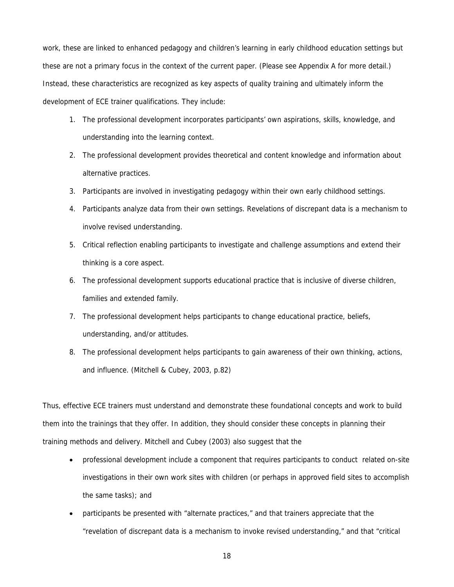work, these are linked to enhanced pedagogy and children's learning in early childhood education settings but these are not a primary focus in the context of the current paper. (Please see Appendix A for more detail.) Instead, these characteristics are recognized as key aspects of quality training and ultimately inform the development of ECE trainer qualifications. They include:

- 1. The professional development incorporates participants' own aspirations, skills, knowledge, and understanding into the learning context.
- 2. The professional development provides theoretical and content knowledge and information about alternative practices.
- 3. Participants are involved in investigating pedagogy within their own early childhood settings.
- 4. Participants analyze data from their own settings. Revelations of discrepant data is a mechanism to involve revised understanding.
- 5. Critical reflection enabling participants to investigate and challenge assumptions and extend their thinking is a core aspect.
- 6. The professional development supports educational practice that is inclusive of diverse children, families and extended family.
- 7. The professional development helps participants to change educational practice, beliefs, understanding, and/or attitudes.
- 8. The professional development helps participants to gain awareness of their own thinking, actions, and influence. (Mitchell & Cubey, 2003, p.82)

Thus, effective ECE trainers must understand and demonstrate these foundational concepts and work to build them into the trainings that they offer. In addition, they should consider these concepts in planning their training methods and delivery. Mitchell and Cubey (2003) also suggest that the

- professional development include a component that requires participants to conduct related on-site investigations in their own work sites with children (or perhaps in approved field sites to accomplish the same tasks); and
- participants be presented with "alternate practices," and that trainers appreciate that the "revelation of discrepant data is a mechanism to invoke revised understanding," and that "critical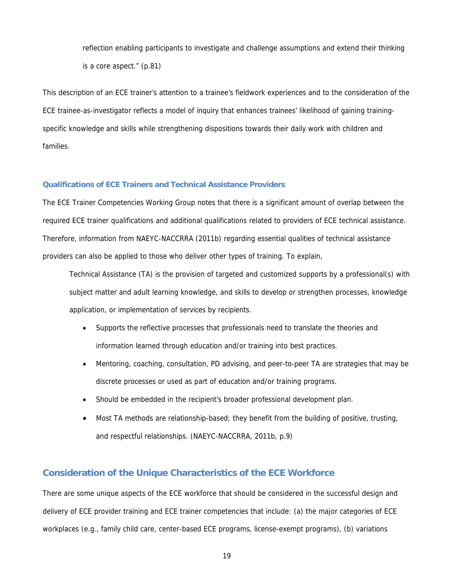reflection enabling participants to investigate and challenge assumptions and extend their thinking is a core aspect." (p.81)

This description of an ECE trainer's attention to a trainee's fieldwork experiences and to the consideration of the ECE trainee-as-investigator reflects a model of inquiry that enhances trainees' likelihood of gaining trainingspecific knowledge and skills while strengthening dispositions towards their daily work with children and families.

## **Qualifications of ECE Trainers and Technical Assistance Providers**

The ECE Trainer Competencies Working Group notes that there is a significant amount of overlap between the required ECE trainer qualifications and additional qualifications related to providers of ECE technical assistance. Therefore, information from NAEYC-NACCRRA (2011b) regarding essential qualities of technical assistance providers can also be applied to those who deliver other types of training. To explain,

Technical Assistance (TA) is the provision of targeted and customized supports by a professional(s) with subject matter and adult learning knowledge, and skills to develop or strengthen processes, knowledge application, or implementation of services by recipients.

- Supports the reflective processes that professionals need to translate the theories and information learned through education and/or training into best practices.
- Mentoring, coaching, consultation, PD advising, and peer-to-peer TA are strategies that may be discrete processes or used as part of education and/or training programs.
- Should be embedded in the recipient's broader professional development plan.
- Most TA methods are relationship-based; they benefit from the building of positive, trusting, and respectful relationships. (NAEYC-NACCRRA, 2011b, p.9)

## **Consideration of the Unique Characteristics of the ECE Workforce**

There are some unique aspects of the ECE workforce that should be considered in the successful design and delivery of ECE provider training and ECE trainer competencies that include: (a) the major categories of ECE workplaces (e.g., family child care, center-based ECE programs, license-exempt programs), (b) variations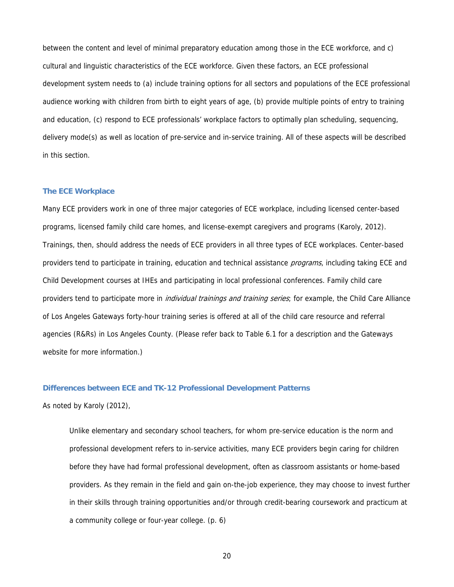between the content and level of minimal preparatory education among those in the ECE workforce, and c) cultural and linguistic characteristics of the ECE workforce. Given these factors, an ECE professional development system needs to (a) include training options for all sectors and populations of the ECE professional audience working with children from birth to eight years of age, (b) provide multiple points of entry to training and education, (c) respond to ECE professionals' workplace factors to optimally plan scheduling, sequencing, delivery mode(s) as well as location of pre-service and in-service training. All of these aspects will be described in this section.

#### **The ECE Workplace**

Many ECE providers work in one of three major categories of ECE workplace, including licensed center-based programs, licensed family child care homes, and license-exempt caregivers and programs (Karoly, 2012). Trainings, then, should address the needs of ECE providers in all three types of ECE workplaces. Center-based providers tend to participate in training, education and technical assistance programs, including taking ECE and Child Development courses at IHEs and participating in local professional conferences. Family child care providers tend to participate more in *individual trainings and training series*; for example, the Child Care Alliance of Los Angeles Gateways forty-hour training series is offered at all of the child care resource and referral agencies (R&Rs) in Los Angeles County. (Please refer back to Table 6.1 for a description and the Gateways website for more information.)

#### **Differences between ECE and TK-12 Professional Development Patterns**

As noted by Karoly (2012),

Unlike elementary and secondary school teachers, for whom pre-service education is the norm and professional development refers to in-service activities, many ECE providers begin caring for children before they have had formal professional development, often as classroom assistants or home-based providers. As they remain in the field and gain on-the-job experience, they may choose to invest further in their skills through training opportunities and/or through credit-bearing coursework and practicum at a community college or four-year college. (p. 6)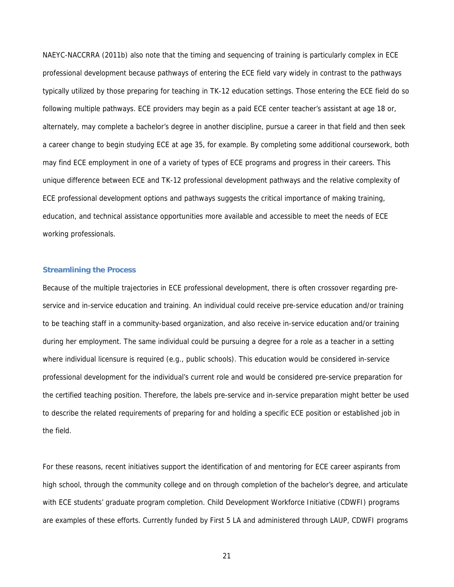NAEYC-NACCRRA (2011b) also note that the timing and sequencing of training is particularly complex in ECE professional development because pathways of entering the ECE field vary widely in contrast to the pathways typically utilized by those preparing for teaching in TK-12 education settings. Those entering the ECE field do so following multiple pathways. ECE providers may begin as a paid ECE center teacher's assistant at age 18 or, alternately, may complete a bachelor's degree in another discipline, pursue a career in that field and then seek a career change to begin studying ECE at age 35, for example. By completing some additional coursework, both may find ECE employment in one of a variety of types of ECE programs and progress in their careers. This unique difference between ECE and TK-12 professional development pathways and the relative complexity of ECE professional development options and pathways suggests the critical importance of making training, education, and technical assistance opportunities more available and accessible to meet the needs of ECE working professionals.

## **Streamlining the Process**

Because of the multiple trajectories in ECE professional development, there is often crossover regarding preservice and in-service education and training. An individual could receive pre-service education and/or training to be teaching staff in a community-based organization, and also receive in-service education and/or training during her employment. The same individual could be pursuing a degree for a role as a teacher in a setting where individual licensure is required (e.g., public schools). This education would be considered in-service professional development for the individual's current role and would be considered pre-service preparation for the certified teaching position. Therefore, the labels pre-service and in-service preparation might better be used to describe the related requirements of preparing for and holding a specific ECE position or established job in the field.

For these reasons, recent initiatives support the identification of and mentoring for ECE career aspirants from high school, through the community college and on through completion of the bachelor's degree, and articulate with ECE students' graduate program completion. Child Development Workforce Initiative (CDWFI) programs are examples of these efforts. Currently funded by First 5 LA and administered through LAUP, CDWFI programs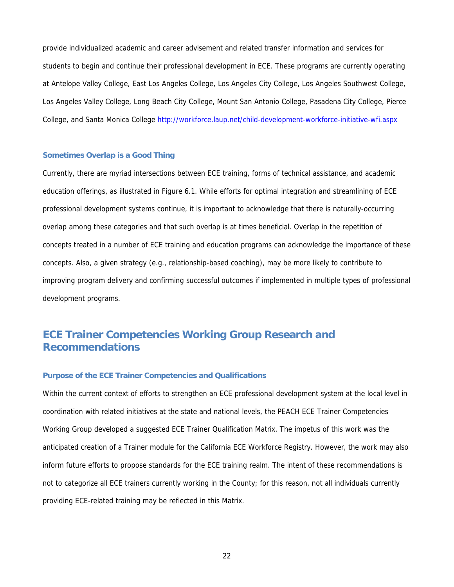provide individualized academic and career advisement and related transfer information and services for students to begin and continue their professional development in ECE. These programs are currently operating at Antelope Valley College, East Los Angeles College, Los Angeles City College, Los Angeles Southwest College, Los Angeles Valley College, Long Beach City College, Mount San Antonio College, Pasadena City College, Pierce College, and Santa Monica College http://workforce.laup.net/child-development-workforce-initiative-wfi.aspx

#### **Sometimes Overlap is a Good Thing**

Currently, there are myriad intersections between ECE training, forms of technical assistance, and academic education offerings, as illustrated in Figure 6.1. While efforts for optimal integration and streamlining of ECE professional development systems continue, it is important to acknowledge that there is naturally-occurring overlap among these categories and that such overlap is at times beneficial. Overlap in the repetition of concepts treated in a number of ECE training and education programs can acknowledge the importance of these concepts. Also, a given strategy (e.g., relationship-based coaching), may be more likely to contribute to improving program delivery and confirming successful outcomes if implemented in multiple types of professional development programs.

## **ECE Trainer Competencies Working Group Research and Recommendations**

#### **Purpose of the ECE Trainer Competencies and Qualifications**

Within the current context of efforts to strengthen an ECE professional development system at the local level in coordination with related initiatives at the state and national levels, the PEACH ECE Trainer Competencies Working Group developed a suggested ECE Trainer Qualification Matrix. The impetus of this work was the anticipated creation of a Trainer module for the California ECE Workforce Registry. However, the work may also inform future efforts to propose standards for the ECE training realm. The intent of these recommendations is not to categorize all ECE trainers currently working in the County; for this reason, not all individuals currently providing ECE-related training may be reflected in this Matrix.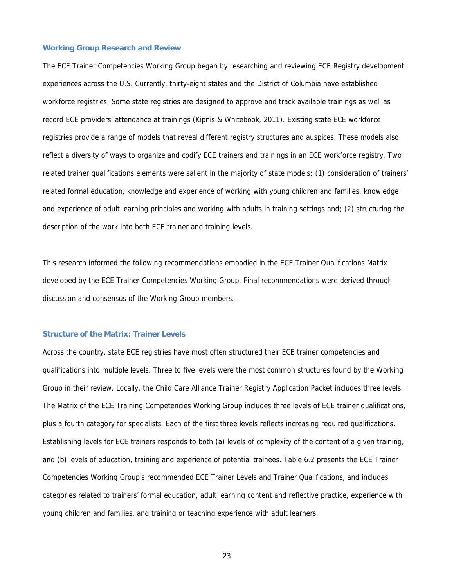#### **Working Group Research and Review**

The ECE Trainer Competencies Working Group began by researching and reviewing ECE Registry development experiences across the U.S. Currently, thirty-eight states and the District of Columbia have established workforce registries. Some state registries are designed to approve and track available trainings as well as record ECE providers' attendance at trainings (Kipnis & Whitebook, 2011). Existing state ECE workforce registries provide a range of models that reveal different registry structures and auspices. These models also reflect a diversity of ways to organize and codify ECE trainers and trainings in an ECE workforce registry. Two related trainer qualifications elements were salient in the majority of state models: (1) consideration of trainers' related formal education, knowledge and experience of working with young children and families, knowledge and experience of adult learning principles and working with adults in training settings and; (2) structuring the description of the work into both ECE trainer and training levels.

This research informed the following recommendations embodied in the ECE Trainer Qualifications Matrix developed by the ECE Trainer Competencies Working Group. Final recommendations were derived through discussion and consensus of the Working Group members.

#### **Structure of the Matrix: Trainer Levels**

Across the country, state ECE registries have most often structured their ECE trainer competencies and qualifications into multiple levels. Three to five levels were the most common structures found by the Working Group in their review. Locally, the Child Care Alliance Trainer Registry Application Packet includes three levels. The Matrix of the ECE Training Competencies Working Group includes three levels of ECE trainer qualifications, plus a fourth category for specialists. Each of the first three levels reflects increasing required qualifications. Establishing levels for ECE trainers responds to both (a) levels of complexity of the content of a given training, and (b) levels of education, training and experience of potential trainees. Table 6.2 presents the ECE Trainer Competencies Working Group's recommended ECE Trainer Levels and Trainer Qualifications, and includes categories related to trainers' formal education, adult learning content and reflective practice, experience with young children and families, and training or teaching experience with adult learners.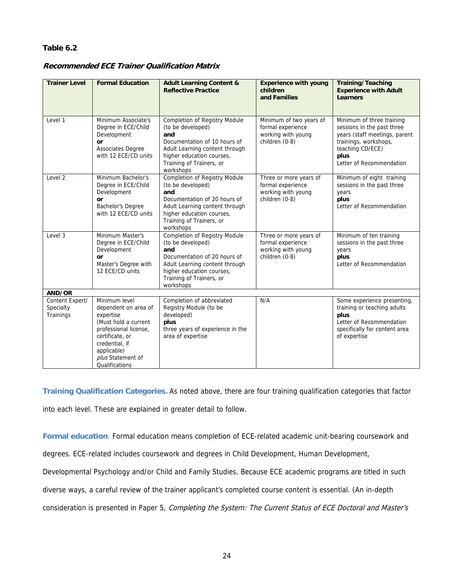## **Table 6.2**

| <b>Trainer Level</b>                      | <b>Formal Education</b>                                                                                                                                                                        | <b>Adult Learning Content &amp;</b><br><b>Reflective Practice</b>                                                                                                                                        | <b>Experience with young</b><br>children<br>and Families                             | <b>Training/Teaching</b><br><b>Experience with Adult</b><br><b>Learners</b>                                                                                               |
|-------------------------------------------|------------------------------------------------------------------------------------------------------------------------------------------------------------------------------------------------|----------------------------------------------------------------------------------------------------------------------------------------------------------------------------------------------------------|--------------------------------------------------------------------------------------|---------------------------------------------------------------------------------------------------------------------------------------------------------------------------|
| Level 1                                   | Minimum Associate's<br>Degree in ECE/Child<br>Development<br>or<br><b>Associates Degree</b><br>with 12 ECE/CD units                                                                            | Completion of Registry Module<br>(to be developed)<br>and<br>Documentation of 10 hours of<br>Adult Learning content through<br>higher education courses,<br>Training of Trainers, or<br>workshops        | Minimum of two years of<br>formal experience<br>working with young<br>children (0-8) | Minimum of three training<br>sessions in the past three<br>years (staff meetings, parent<br>trainings, workshops,<br>teaching CD/ECE)<br>plus<br>Letter of Recommendation |
| Level <sub>2</sub>                        | Minimum Bachelor's<br>Degree in ECE/Child<br>Development<br>or<br>Bachelor's Degree<br>with 12 ECE/CD units                                                                                    | Completion of Registry Module<br>(to be developed)<br>and<br>Documentation of 20 hours of<br>Adult Learning content through<br>higher education courses,<br>Training of Trainers, or<br>workshops        | Three or more years of<br>formal experience<br>working with young<br>children (0-8)  | Minimum of eight training<br>sessions in the past three<br>years<br>plus<br>Letter of Recommendation                                                                      |
| Level 3                                   | Minimum Master's<br>Degree in ECE/Child<br>Development<br>or<br>Master's Degree with<br>12 ECE/CD units                                                                                        | <b>Completion of Registry Module</b><br>(to be developed)<br>and<br>Documentation of 20 hours of<br>Adult Learning content through<br>higher education courses,<br>Training of Trainers, or<br>workshops | Three or more years of<br>formal experience<br>working with young<br>children (0-8)  | Minimum of ten training<br>sessions in the past three<br>years<br>plus<br>Letter of Recommendation                                                                        |
| AND/OR                                    |                                                                                                                                                                                                |                                                                                                                                                                                                          |                                                                                      |                                                                                                                                                                           |
| Content Expert/<br>Specialty<br>Trainings | Minimum level<br>dependent on area of<br>expertise<br>(Must hold a current<br>professional license,<br>certificate, or<br>credential, if<br>applicable)<br>plus Statement of<br>Qualifications | Completion of abbreviated<br>Registry Module (to be<br>developed)<br>plus<br>three years of experience in the<br>area of expertise                                                                       | N/A                                                                                  | Some experience presenting,<br>training or teaching adults<br>plus<br>Letter of Recommendation<br>specifically for content area<br>of expertise                           |

## **Recommended ECE Trainer Qualification Matrix**

**Training Qualification Categories.** As noted above, there are four training qualification categories that factor into each level. These are explained in greater detail to follow.

**Formal education**: Formal education means completion of ECE-related academic unit-bearing coursework and

degrees. ECE-related includes coursework and degrees in Child Development, Human Development,

Developmental Psychology and/or Child and Family Studies. Because ECE academic programs are titled in such

diverse ways, a careful review of the trainer applicant's completed course content is essential. (An in-depth

consideration is presented in Paper 5, Completing the System: The Current Status of ECE Doctoral and Master's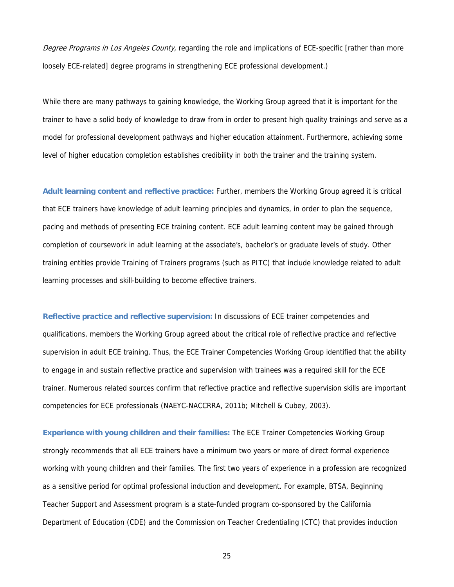Degree Programs in Los Angeles County, regarding the role and implications of ECE-specific [rather than more loosely ECE-related] degree programs in strengthening ECE professional development.)

While there are many pathways to gaining knowledge, the Working Group agreed that it is important for the trainer to have a solid body of knowledge to draw from in order to present high quality trainings and serve as a model for professional development pathways and higher education attainment. Furthermore, achieving some level of higher education completion establishes credibility in both the trainer and the training system.

**Adult learning content and reflective practice:** Further, members the Working Group agreed it is critical that ECE trainers have knowledge of adult learning principles and dynamics, in order to plan the sequence, pacing and methods of presenting ECE training content. ECE adult learning content may be gained through completion of coursework in adult learning at the associate's, bachelor's or graduate levels of study. Other training entities provide Training of Trainers programs (such as PITC) that include knowledge related to adult learning processes and skill-building to become effective trainers.

**Reflective practice and reflective supervision:** In discussions of ECE trainer competencies and qualifications, members the Working Group agreed about the critical role of reflective practice and reflective supervision in adult ECE training. Thus, the ECE Trainer Competencies Working Group identified that the ability to engage in and sustain reflective practice and supervision with trainees was a required skill for the ECE trainer. Numerous related sources confirm that reflective practice and reflective supervision skills are important competencies for ECE professionals (NAEYC-NACCRRA, 2011b; Mitchell & Cubey, 2003).

**Experience with young children and their families:** The ECE Trainer Competencies Working Group strongly recommends that all ECE trainers have a minimum two years or more of direct formal experience working with young children and their families. The first two years of experience in a profession are recognized as a sensitive period for optimal professional induction and development. For example, BTSA, Beginning Teacher Support and Assessment program is a state-funded program co-sponsored by the California Department of Education (CDE) and the Commission on Teacher Credentialing (CTC) that provides induction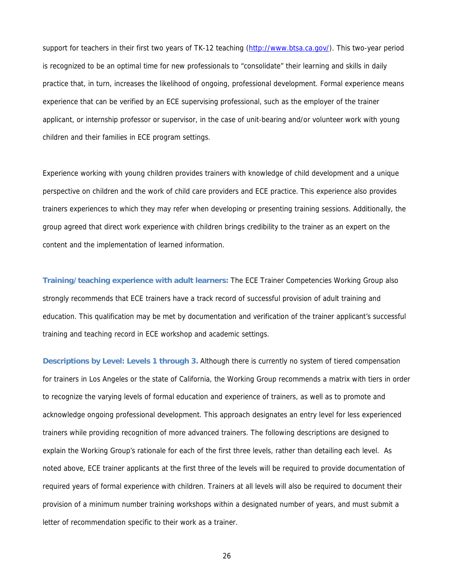support for teachers in their first two years of TK-12 teaching (http://www.btsa.ca.gov/). This two-year period is recognized to be an optimal time for new professionals to "consolidate" their learning and skills in daily practice that, in turn, increases the likelihood of ongoing, professional development. Formal experience means experience that can be verified by an ECE supervising professional, such as the employer of the trainer applicant, or internship professor or supervisor, in the case of unit-bearing and/or volunteer work with young children and their families in ECE program settings.

Experience working with young children provides trainers with knowledge of child development and a unique perspective on children and the work of child care providers and ECE practice. This experience also provides trainers experiences to which they may refer when developing or presenting training sessions. Additionally, the group agreed that direct work experience with children brings credibility to the trainer as an expert on the content and the implementation of learned information.

**Training/teaching experience with adult learners:** The ECE Trainer Competencies Working Group also strongly recommends that ECE trainers have a track record of successful provision of adult training and education. This qualification may be met by documentation and verification of the trainer applicant's successful training and teaching record in ECE workshop and academic settings.

**Descriptions by Level: Levels 1 through 3.** Although there is currently no system of tiered compensation for trainers in Los Angeles or the state of California, the Working Group recommends a matrix with tiers in order to recognize the varying levels of formal education and experience of trainers, as well as to promote and acknowledge ongoing professional development. This approach designates an entry level for less experienced trainers while providing recognition of more advanced trainers. The following descriptions are designed to explain the Working Group's rationale for each of the first three levels, rather than detailing each level. As noted above, ECE trainer applicants at the first three of the levels will be required to provide documentation of required years of formal experience with children. Trainers at all levels will also be required to document their provision of a minimum number training workshops within a designated number of years, and must submit a letter of recommendation specific to their work as a trainer.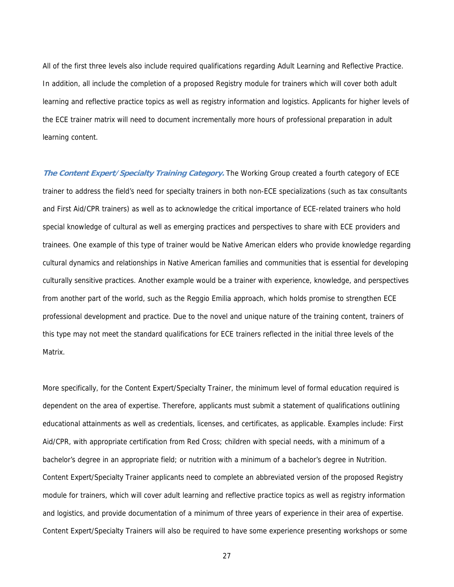All of the first three levels also include required qualifications regarding Adult Learning and Reflective Practice. In addition, all include the completion of a proposed Registry module for trainers which will cover both adult learning and reflective practice topics as well as registry information and logistics. Applicants for higher levels of the ECE trainer matrix will need to document incrementally more hours of professional preparation in adult learning content.

**The Content Expert/Specialty Training Category.** The Working Group created a fourth category of ECE trainer to address the field's need for specialty trainers in both non-ECE specializations (such as tax consultants and First Aid/CPR trainers) as well as to acknowledge the critical importance of ECE-related trainers who hold special knowledge of cultural as well as emerging practices and perspectives to share with ECE providers and trainees. One example of this type of trainer would be Native American elders who provide knowledge regarding cultural dynamics and relationships in Native American families and communities that is essential for developing culturally sensitive practices. Another example would be a trainer with experience, knowledge, and perspectives from another part of the world, such as the Reggio Emilia approach, which holds promise to strengthen ECE professional development and practice. Due to the novel and unique nature of the training content, trainers of this type may not meet the standard qualifications for ECE trainers reflected in the initial three levels of the Matrix.

More specifically, for the Content Expert/Specialty Trainer, the minimum level of formal education required is dependent on the area of expertise. Therefore, applicants must submit a statement of qualifications outlining educational attainments as well as credentials, licenses, and certificates, as applicable. Examples include: First Aid/CPR, with appropriate certification from Red Cross; children with special needs, with a minimum of a bachelor's degree in an appropriate field; or nutrition with a minimum of a bachelor's degree in Nutrition. Content Expert/Specialty Trainer applicants need to complete an abbreviated version of the proposed Registry module for trainers, which will cover adult learning and reflective practice topics as well as registry information and logistics, and provide documentation of a minimum of three years of experience in their area of expertise. Content Expert/Specialty Trainers will also be required to have some experience presenting workshops or some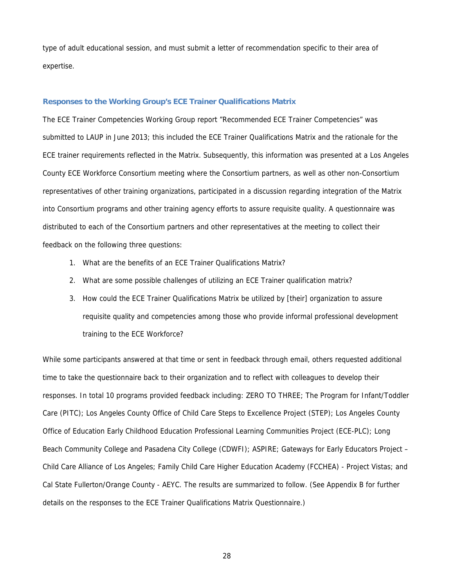type of adult educational session, and must submit a letter of recommendation specific to their area of expertise.

## **Responses to the Working Group's ECE Trainer Qualifications Matrix**

The ECE Trainer Competencies Working Group report "Recommended ECE Trainer Competencies" was submitted to LAUP in June 2013; this included the ECE Trainer Qualifications Matrix and the rationale for the ECE trainer requirements reflected in the Matrix. Subsequently, this information was presented at a Los Angeles County ECE Workforce Consortium meeting where the Consortium partners, as well as other non-Consortium representatives of other training organizations, participated in a discussion regarding integration of the Matrix into Consortium programs and other training agency efforts to assure requisite quality. A questionnaire was distributed to each of the Consortium partners and other representatives at the meeting to collect their feedback on the following three questions:

- 1. What are the benefits of an ECE Trainer Qualifications Matrix?
- 2. What are some possible challenges of utilizing an ECE Trainer qualification matrix?
- 3. How could the ECE Trainer Qualifications Matrix be utilized by [their] organization to assure requisite quality and competencies among those who provide informal professional development training to the ECE Workforce?

While some participants answered at that time or sent in feedback through email, others requested additional time to take the questionnaire back to their organization and to reflect with colleagues to develop their responses. In total 10 programs provided feedback including: ZERO TO THREE; The Program for Infant/Toddler Care (PITC); Los Angeles County Office of Child Care Steps to Excellence Project (STEP); Los Angeles County Office of Education Early Childhood Education Professional Learning Communities Project (ECE-PLC); Long Beach Community College and Pasadena City College (CDWFI); ASPIRE; Gateways for Early Educators Project – Child Care Alliance of Los Angeles; Family Child Care Higher Education Academy (FCCHEA) - Project Vistas; and Cal State Fullerton/Orange County - AEYC. The results are summarized to follow. (See Appendix B for further details on the responses to the ECE Trainer Qualifications Matrix Questionnaire.)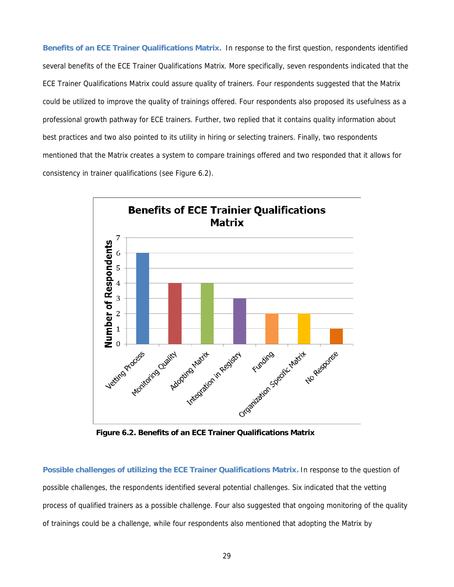**Benefits of an ECE Trainer Qualifications Matrix.** In response to the first question, respondents identified several benefits of the ECE Trainer Qualifications Matrix. More specifically, seven respondents indicated that the ECE Trainer Qualifications Matrix could assure quality of trainers. Four respondents suggested that the Matrix could be utilized to improve the quality of trainings offered. Four respondents also proposed its usefulness as a professional growth pathway for ECE trainers. Further, two replied that it contains quality information about best practices and two also pointed to its utility in hiring or selecting trainers. Finally, two respondents mentioned that the Matrix creates a system to compare trainings offered and two responded that it allows for consistency in trainer qualifications (see Figure 6.2).



**Figure 6.2. Benefits of an ECE Trainer Qualifications Matrix**

**Possible challenges of utilizing the ECE Trainer Qualifications Matrix.** In response to the question of possible challenges, the respondents identified several potential challenges. Six indicated that the vetting process of qualified trainers as a possible challenge. Four also suggested that ongoing monitoring of the quality of trainings could be a challenge, while four respondents also mentioned that adopting the Matrix by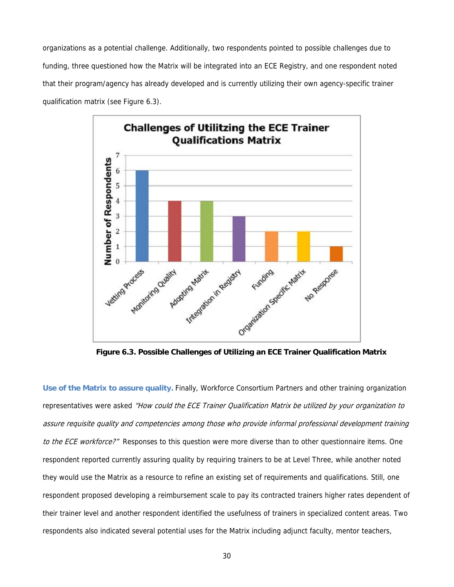organizations as a potential challenge. Additionally, two respondents pointed to possible challenges due to funding, three questioned how the Matrix will be integrated into an ECE Registry, and one respondent noted that their program/agency has already developed and is currently utilizing their own agency-specific trainer qualification matrix (see Figure 6.3).



**Figure 6.3. Possible Challenges of Utilizing an ECE Trainer Qualification Matrix** 

**Use of the Matrix to assure quality.** Finally, Workforce Consortium Partners and other training organization representatives were asked "How could the ECE Trainer Qualification Matrix be utilized by your organization to assure requisite quality and competencies among those who provide informal professional development training to the ECE workforce?" Responses to this question were more diverse than to other questionnaire items. One respondent reported currently assuring quality by requiring trainers to be at Level Three, while another noted they would use the Matrix as a resource to refine an existing set of requirements and qualifications. Still, one respondent proposed developing a reimbursement scale to pay its contracted trainers higher rates dependent of their trainer level and another respondent identified the usefulness of trainers in specialized content areas. Two respondents also indicated several potential uses for the Matrix including adjunct faculty, mentor teachers,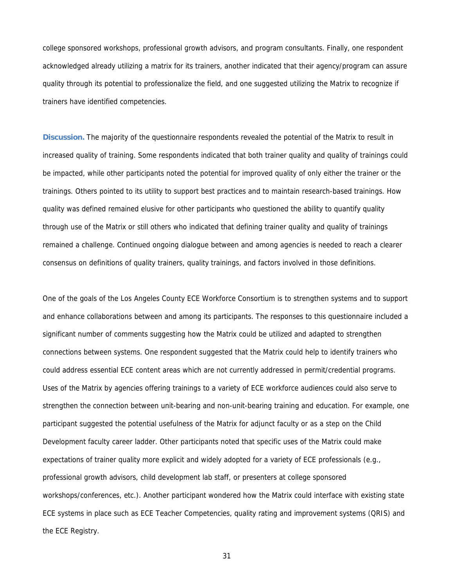college sponsored workshops, professional growth advisors, and program consultants. Finally, one respondent acknowledged already utilizing a matrix for its trainers, another indicated that their agency/program can assure quality through its potential to professionalize the field, and one suggested utilizing the Matrix to recognize if trainers have identified competencies.

**Discussion.** The majority of the questionnaire respondents revealed the potential of the Matrix to result in increased quality of training. Some respondents indicated that both trainer quality and quality of trainings could be impacted, while other participants noted the potential for improved quality of only either the trainer or the trainings. Others pointed to its utility to support best practices and to maintain research-based trainings. How quality was defined remained elusive for other participants who questioned the ability to quantify quality through use of the Matrix or still others who indicated that defining trainer quality and quality of trainings remained a challenge. Continued ongoing dialogue between and among agencies is needed to reach a clearer consensus on definitions of quality trainers, quality trainings, and factors involved in those definitions.

One of the goals of the Los Angeles County ECE Workforce Consortium is to strengthen systems and to support and enhance collaborations between and among its participants. The responses to this questionnaire included a significant number of comments suggesting how the Matrix could be utilized and adapted to strengthen connections between systems. One respondent suggested that the Matrix could help to identify trainers who could address essential ECE content areas which are not currently addressed in permit/credential programs. Uses of the Matrix by agencies offering trainings to a variety of ECE workforce audiences could also serve to strengthen the connection between unit-bearing and non-unit-bearing training and education. For example, one participant suggested the potential usefulness of the Matrix for adjunct faculty or as a step on the Child Development faculty career ladder. Other participants noted that specific uses of the Matrix could make expectations of trainer quality more explicit and widely adopted for a variety of ECE professionals (e.g., professional growth advisors, child development lab staff, or presenters at college sponsored workshops/conferences, etc.). Another participant wondered how the Matrix could interface with existing state ECE systems in place such as ECE Teacher Competencies, quality rating and improvement systems (QRIS) and the ECE Registry.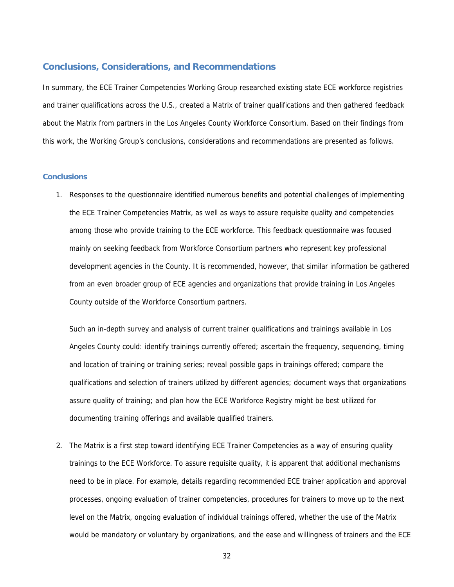#### **Conclusions, Considerations, and Recommendations**

In summary, the ECE Trainer Competencies Working Group researched existing state ECE workforce registries and trainer qualifications across the U.S., created a Matrix of trainer qualifications and then gathered feedback about the Matrix from partners in the Los Angeles County Workforce Consortium. Based on their findings from this work, the Working Group's conclusions, considerations and recommendations are presented as follows.

### **Conclusions**

1. Responses to the questionnaire identified numerous benefits and potential challenges of implementing the ECE Trainer Competencies Matrix, as well as ways to assure requisite quality and competencies among those who provide training to the ECE workforce. This feedback questionnaire was focused mainly on seeking feedback from Workforce Consortium partners who represent key professional development agencies in the County. It is recommended, however, that similar information be gathered from an even broader group of ECE agencies and organizations that provide training in Los Angeles County outside of the Workforce Consortium partners.

Such an in-depth survey and analysis of current trainer qualifications and trainings available in Los Angeles County could: identify trainings currently offered; ascertain the frequency, sequencing, timing and location of training or training series; reveal possible gaps in trainings offered; compare the qualifications and selection of trainers utilized by different agencies; document ways that organizations assure quality of training; and plan how the ECE Workforce Registry might be best utilized for documenting training offerings and available qualified trainers.

2. The Matrix is a first step toward identifying ECE Trainer Competencies as a way of ensuring quality trainings to the ECE Workforce. To assure requisite quality, it is apparent that additional mechanisms need to be in place. For example, details regarding recommended ECE trainer application and approval processes, ongoing evaluation of trainer competencies, procedures for trainers to move up to the next level on the Matrix, ongoing evaluation of individual trainings offered, whether the use of the Matrix would be mandatory or voluntary by organizations, and the ease and willingness of trainers and the ECE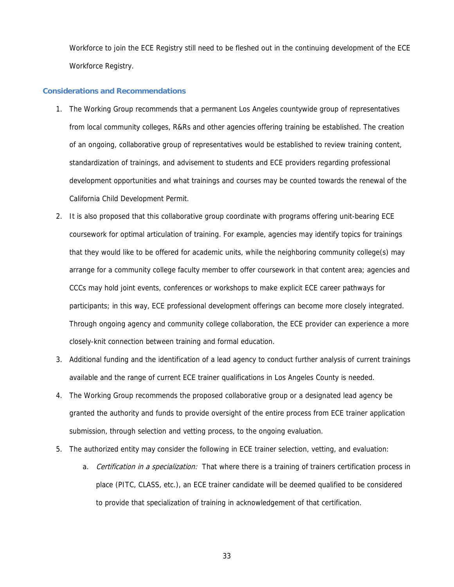Workforce to join the ECE Registry still need to be fleshed out in the continuing development of the ECE Workforce Registry.

#### **Considerations and Recommendations**

- 1. The Working Group recommends that a permanent Los Angeles countywide group of representatives from local community colleges, R&Rs and other agencies offering training be established. The creation of an ongoing, collaborative group of representatives would be established to review training content, standardization of trainings, and advisement to students and ECE providers regarding professional development opportunities and what trainings and courses may be counted towards the renewal of the California Child Development Permit.
- 2. It is also proposed that this collaborative group coordinate with programs offering unit-bearing ECE coursework for optimal articulation of training. For example, agencies may identify topics for trainings that they would like to be offered for academic units, while the neighboring community college(s) may arrange for a community college faculty member to offer coursework in that content area; agencies and CCCs may hold joint events, conferences or workshops to make explicit ECE career pathways for participants; in this way, ECE professional development offerings can become more closely integrated. Through ongoing agency and community college collaboration, the ECE provider can experience a more closely-knit connection between training and formal education.
- 3. Additional funding and the identification of a lead agency to conduct further analysis of current trainings available and the range of current ECE trainer qualifications in Los Angeles County is needed.
- 4. The Working Group recommends the proposed collaborative group or a designated lead agency be granted the authority and funds to provide oversight of the entire process from ECE trainer application submission, through selection and vetting process, to the ongoing evaluation.
- 5. The authorized entity may consider the following in ECE trainer selection, vetting, and evaluation:
	- a. Certification in a specialization: That where there is a training of trainers certification process in place (PITC, CLASS, etc.), an ECE trainer candidate will be deemed qualified to be considered to provide that specialization of training in acknowledgement of that certification.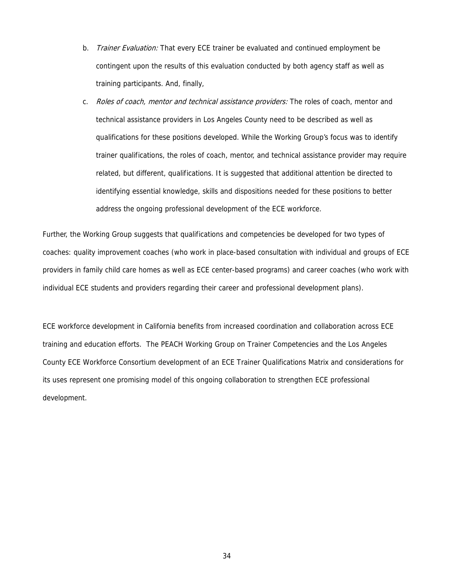- b. Trainer Evaluation: That every ECE trainer be evaluated and continued employment be contingent upon the results of this evaluation conducted by both agency staff as well as training participants. And, finally,
- c. Roles of coach, mentor and technical assistance providers: The roles of coach, mentor and technical assistance providers in Los Angeles County need to be described as well as qualifications for these positions developed. While the Working Group's focus was to identify trainer qualifications, the roles of coach, mentor, and technical assistance provider may require related, but different, qualifications. It is suggested that additional attention be directed to identifying essential knowledge, skills and dispositions needed for these positions to better address the ongoing professional development of the ECE workforce.

Further, the Working Group suggests that qualifications and competencies be developed for two types of coaches: quality improvement coaches (who work in place-based consultation with individual and groups of ECE providers in family child care homes as well as ECE center-based programs) and career coaches (who work with individual ECE students and providers regarding their career and professional development plans).

ECE workforce development in California benefits from increased coordination and collaboration across ECE training and education efforts. The PEACH Working Group on Trainer Competencies and the Los Angeles County ECE Workforce Consortium development of an ECE Trainer Qualifications Matrix and considerations for its uses represent one promising model of this ongoing collaboration to strengthen ECE professional development.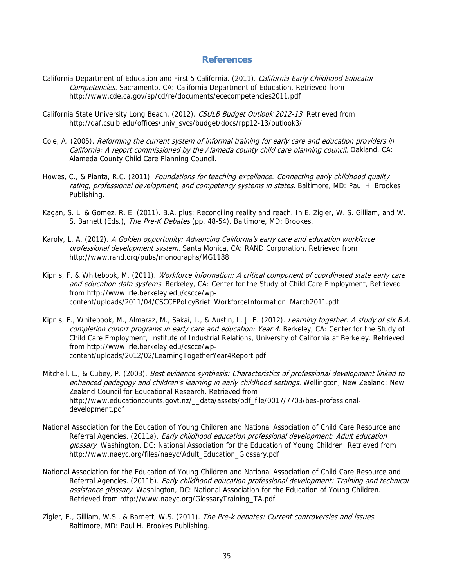## **References**

- California Department of Education and First 5 California. (2011). California Early Childhood Educator Competencies. Sacramento, CA: California Department of Education. Retrieved from http://www.cde.ca.gov/sp/cd/re/documents/ececompetencies2011.pdf
- California State University Long Beach. (2012). CSULB Budget Outlook 2012-13. Retrieved from http://daf.csulb.edu/offices/univ\_svcs/budget/docs/rpp12-13/outlook3/
- Cole, A. (2005). Reforming the current system of informal training for early care and education providers in California: A report commissioned by the Alameda county child care planning council. Oakland, CA: Alameda County Child Care Planning Council.
- Howes, C., & Pianta, R.C. (2011). Foundations for teaching excellence: Connecting early childhood quality rating, professional development, and competency systems in states. Baltimore, MD: Paul H. Brookes Publishing.
- Kagan, S. L. & Gomez, R. E. (2011). B.A. plus: Reconciling reality and reach. In E. Zigler, W. S. Gilliam, and W. S. Barnett (Eds.), The Pre-K Debates (pp. 48-54). Baltimore, MD: Brookes.
- Karoly, L. A. (2012). A Golden opportunity: Advancing California's early care and education workforce professional development system. Santa Monica, CA: RAND Corporation. Retrieved from http://www.rand.org/pubs/monographs/MG1188
- Kipnis, F. & Whitebook, M. (2011). Workforce information: A critical component of coordinated state early care and education data systems. Berkeley, CA: Center for the Study of Child Care Employment, Retrieved from http://www.irle.berkeley.edu/cscce/wpcontent/uploads/2011/04/CSCCEPolicyBrief\_WorkforceInformation\_March2011.pdf
- Kipnis, F., Whitebook, M., Almaraz, M., Sakai, L., & Austin, L. J. E. (2012). Learning together: A study of six B.A. completion cohort programs in early care and education: Year 4. Berkeley, CA: Center for the Study of Child Care Employment, Institute of Industrial Relations, University of California at Berkeley. Retrieved from http://www.irle.berkeley.edu/cscce/wpcontent/uploads/2012/02/LearningTogetherYear4Report.pdf
- Mitchell, L., & Cubey, P. (2003). Best evidence synthesis: Characteristics of professional development linked to enhanced pedagogy and children's learning in early childhood settings. Wellington, New Zealand: New Zealand Council for Educational Research. Retrieved from http://www.educationcounts.govt.nz/\_\_data/assets/pdf\_file/0017/7703/bes-professionaldevelopment.pdf
- National Association for the Education of Young Children and National Association of Child Care Resource and Referral Agencies. (2011a). Early childhood education professional development: Adult education glossary. Washington, DC: National Association for the Education of Young Children. Retrieved from http://www.naeyc.org/files/naeyc/Adult\_Education\_Glossary.pdf
- National Association for the Education of Young Children and National Association of Child Care Resource and Referral Agencies. (2011b). Early childhood education professional development: Training and technical assistance glossary. Washington, DC: National Association for the Education of Young Children. Retrieved from http://www.naeyc.org/GlossaryTraining\_TA.pdf
- Zigler, E., Gilliam, W.S., & Barnett, W.S. (2011). The Pre-k debates: Current controversies and issues. Baltimore, MD: Paul H. Brookes Publishing.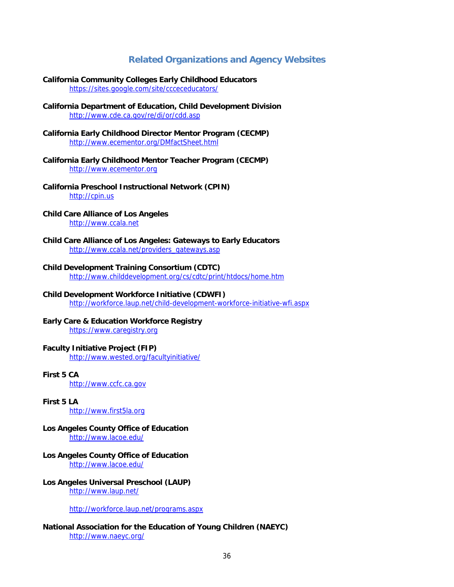## **Related Organizations and Agency Websites**

- **California Community Colleges Early Childhood Educators**  https://sites.google.com/site/ccceceducators/
- **California Department of Education, Child Development Division**  http://www.cde.ca.gov/re/di/or/cdd.asp
- **California Early Childhood Director Mentor Program (CECMP)** http://www.ecementor.org/DMfactSheet.html
- **California Early Childhood Mentor Teacher Program (CECMP)**  http://www.ecementor.org
- **California Preschool Instructional Network (CPIN)** http://cpin.us
- **Child Care Alliance of Los Angeles**  http://www.ccala.net
- **Child Care Alliance of Los Angeles: Gateways to Early Educators** http://www.ccala.net/providers\_gateways.asp
- **Child Development Training Consortium (CDTC)**

http://www.childdevelopment.org/cs/cdtc/print/htdocs/home.htm

**Child Development Workforce Initiative (CDWFI)** 

http://workforce.laup.net/child-development-workforce-initiative-wfi.aspx

#### **Early Care & Education Workforce Registry**  https://www.caregistry.org

#### **Faculty Initiative Project (FIP)**

http://www.wested.org/facultyinitiative/

## **First 5 CA**

http://www.ccfc.ca.gov

- **First 5 LA**  http://www.first5la.org
- **Los Angeles County Office of Education**  http://www.lacoe.edu/
- **Los Angeles County Office of Education**  http://www.lacoe.edu/
- **Los Angeles Universal Preschool (LAUP)**  http://www.laup.net/

http://workforce.laup.net/programs.aspx

**National Association for the Education of Young Children (NAEYC)**  http://www.naeyc.org/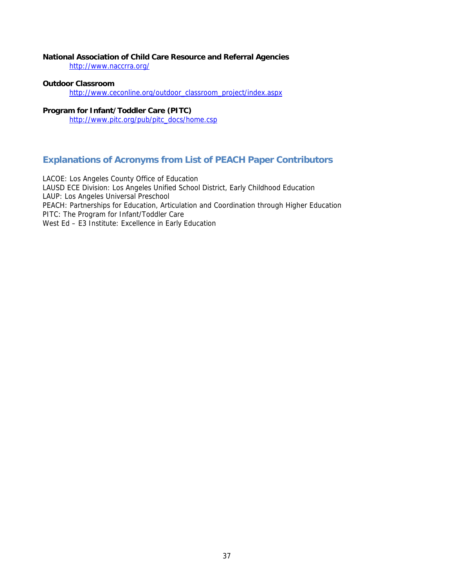## **National Association of Child Care Resource and Referral Agencies**

http://www.naccrra.org/

## **Outdoor Classroom**

http://www.ceconline.org/outdoor\_classroom\_project/index.aspx

## **Program for Infant/Toddler Care (PITC)**

http://www.pitc.org/pub/pitc\_docs/home.csp

## **Explanations of Acronyms from List of PEACH Paper Contributors**

LACOE: Los Angeles County Office of Education LAUSD ECE Division: Los Angeles Unified School District, Early Childhood Education LAUP: Los Angeles Universal Preschool PEACH: Partnerships for Education, Articulation and Coordination through Higher Education PITC: The Program for Infant/Toddler Care West Ed – E3 Institute: Excellence in Early Education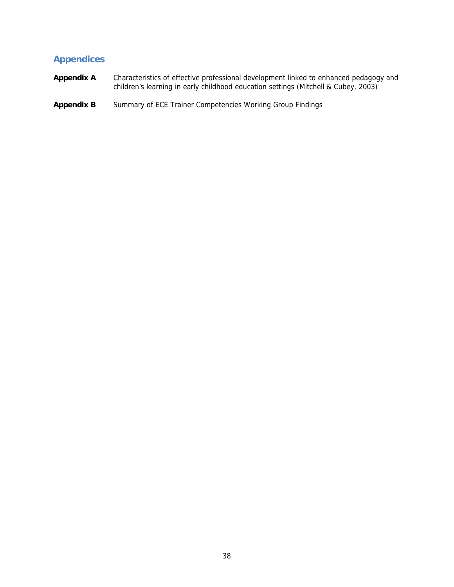## **Appendices**

- **Appendix A** Characteristics of effective professional development linked to enhanced pedagogy and children's learning in early childhood education settings (Mitchell & Cubey, 2003)
- Appendix B Summary of ECE Trainer Competencies Working Group Findings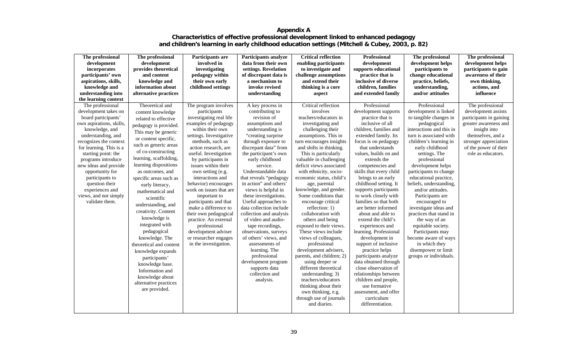## **Appendix A Characteristics of effective professional development linked to enhanced pedagogy and children's learning in early childhood education settings (Mitchell & Cubey, 2003, p. 82)**

| The professional         | The professional        | Participants are        | <b>Participants analyze</b> | <b>Critical reflection</b> | Professional            | The professional         | The professional        |
|--------------------------|-------------------------|-------------------------|-----------------------------|----------------------------|-------------------------|--------------------------|-------------------------|
| development              | development             | involved in             | data from their own         | enabling participants      | development             | development helps        | development helps       |
| incorporates             | provides theoretical    | investigating           | settings. Revelation        | to investigate and         | supports educational    | participants to          | participants to gain    |
| participants' own        | and content             | pedagogy within         | of discrepant data is       | challenge assumptions      | practice that is        | change educational       | awareness of their      |
| aspirations, skills,     | knowledge and           | their own early         | a mechanism to              | and extend their           | inclusive of diverse    | practice, beliefs,       | own thinking,           |
| knowledge and            | information about       | childhood settings      | invoke revised              | thinking is a core         | children, families      | understanding,           | actions, and            |
| understanding into       | alternative practices   |                         | understanding               | aspect                     | and extended family     | and/or attitudes         | influence               |
| the learning context     |                         |                         |                             |                            |                         |                          |                         |
| The professional         | Theoretical and         | The program involves    | A key process in            | Critical reflection        | Professional            | Professional             | The professional        |
| development takes on     | content knowledge       | participants            | contributing to             | involves                   | development supports    | development is linked    | development assists     |
| board participants'      | related to effective    | investigating real life | revision of                 | teachers/educators in      | practice that is        | to tangible changes in   | participants in gaining |
| own aspirations, skills, | pedagogy is provided.   | examples of pedagogy    | assumptions and             | investigating and          | inclusive of all        | pedagogical              | greater awareness and   |
| knowledge, and           | This may be generic     | within their own        | understanding is            | challenging their          | children, families and  | interactions and this in | insight into            |
| understanding, and       | or content specific,    | settings. Investigative | "creating surprise          | assumptions. This in       | extended family. Its    | turn is associated with  | themselves, and a       |
| recognizes the context   | such as generic areas   | methods, such as        | through exposure to         | turn encourages insights   | focus is on pedagogy    | children's learning in   | stronger appreciation   |
| for learning. This is a  |                         | action research, are    | discrepant data" from       | and shifts in thinking.    | that understands        | early childhood          | of the power of their   |
| starting point: the      | of co-constructing      | useful. Investigation   | the participant's own       | This is particularly       | values, builds on and   | settings. The            | role as educators.      |
| programs introduce       | learning, scaffolding,  | by participants in      | early childhood             | valuable in challenging    | extends the             | professional             |                         |
| new ideas and provide    | learning dispositions   | issues within their     | service.                    | deficit views associated   | competencies and        | development helps        |                         |
| opportunity for          | as outcomes, and        | own setting (e.g.       | Understandable data         | with ethnicity, socio-     | skills that every child | participants to change   |                         |
| participants to          | specific areas such as  | interactions and        | that reveals "pedagogy      | economic status, child's   | brings to an early      | educational practice,    |                         |
| question their           | early literacy,         | behavior) encourages    | in action" and others'      | age, parental              | childhood setting. It   | beliefs, understanding,  |                         |
| experiences and          | mathematical and        | work on issues that are | views is helpful in         | knowledge, and gender.     | supports participants   | and/or attitudes.        |                         |
| views, and not simply    | scientific              | important to            | these investigations.       | Some conditions that       | to work closely with    | Participants are         |                         |
| validate them.           | understanding, and      | participants and that   | Useful approaches to        | encourage critical         | families so that both   | encouraged to            |                         |
|                          | creativity. Content     | make a difference to    | data collection include     | reflection: 1)             | are better informed     | investigate ideas and    |                         |
|                          |                         | their own pedagogical   | collection and analysis     | collaboration with         | about and able to       | practices that stand in  |                         |
|                          | knowledge is            | practice. An external   | of video and audio-         | others and being           | extend the child's      | the way of an            |                         |
|                          | integrated with         | professional            | tape recordings,            | exposed to their views.    | experiences and         | equitable society.       |                         |
|                          | pedagogical             | development adviser     | observations, surveys       | These views include        | learning. Professional  | Participants may         |                         |
|                          | knowledge. The          | or researcher engages   | of others' views, and       | views of colleagues,       | development in          | become aware of ways     |                         |
|                          | theoretical and content | in the investigation.   | assessments of              | professional               | support of inclusive    | in which they            |                         |
|                          | knowledge expands       |                         | learning. The               | development advisers,      | practice helps          | disempower or limit      |                         |
|                          | participants'           |                         | professional                | parents, and children; 2)  | participants analyze    | groups or individuals.   |                         |
|                          | knowledge base.         |                         | development program         | using deeper or            | data obtained through   |                          |                         |
|                          | Information and         |                         | supports data               | different theoretical      | close observation of    |                          |                         |
|                          | knowledge about         |                         | collection and              | understanding; 3)          | relationships between   |                          |                         |
|                          | alternative practices   |                         | analysis.                   | teachers/educators         | children and people,    |                          |                         |
|                          | are provided.           |                         |                             | thinking about their       | use formative           |                          |                         |
|                          |                         |                         |                             | own thinking, e.g.         | assessment, and offer   |                          |                         |
|                          |                         |                         |                             | through use of journals    | curriculum              |                          |                         |
|                          |                         |                         |                             | and diaries.               | differentiation.        |                          |                         |
|                          |                         |                         |                             |                            |                         |                          |                         |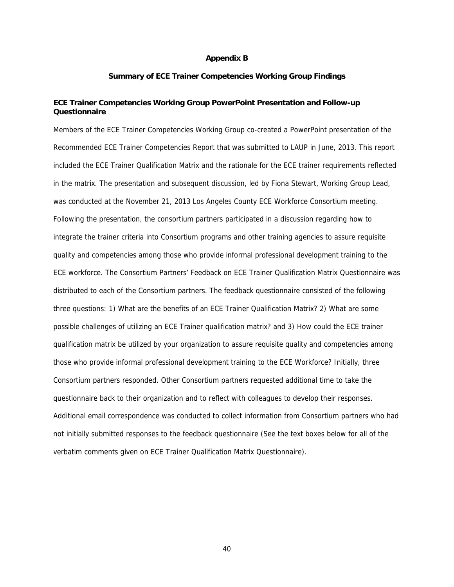#### **Appendix B**

#### **Summary of ECE Trainer Competencies Working Group Findings**

#### **ECE Trainer Competencies Working Group PowerPoint Presentation and Follow-up Questionnaire**

Members of the ECE Trainer Competencies Working Group co-created a PowerPoint presentation of the Recommended ECE Trainer Competencies Report that was submitted to LAUP in June, 2013. This report included the ECE Trainer Qualification Matrix and the rationale for the ECE trainer requirements reflected in the matrix. The presentation and subsequent discussion, led by Fiona Stewart, Working Group Lead, was conducted at the November 21, 2013 Los Angeles County ECE Workforce Consortium meeting. Following the presentation, the consortium partners participated in a discussion regarding how to integrate the trainer criteria into Consortium programs and other training agencies to assure requisite quality and competencies among those who provide informal professional development training to the ECE workforce. The Consortium Partners' Feedback on ECE Trainer Qualification Matrix Questionnaire was distributed to each of the Consortium partners. The feedback questionnaire consisted of the following three questions: 1) What are the benefits of an ECE Trainer Qualification Matrix? 2) What are some possible challenges of utilizing an ECE Trainer qualification matrix? and 3) How could the ECE trainer qualification matrix be utilized by your organization to assure requisite quality and competencies among those who provide informal professional development training to the ECE Workforce? Initially, three Consortium partners responded. Other Consortium partners requested additional time to take the questionnaire back to their organization and to reflect with colleagues to develop their responses. Additional email correspondence was conducted to collect information from Consortium partners who had not initially submitted responses to the feedback questionnaire (See the text boxes below for all of the verbatim comments given on ECE Trainer Qualification Matrix Questionnaire).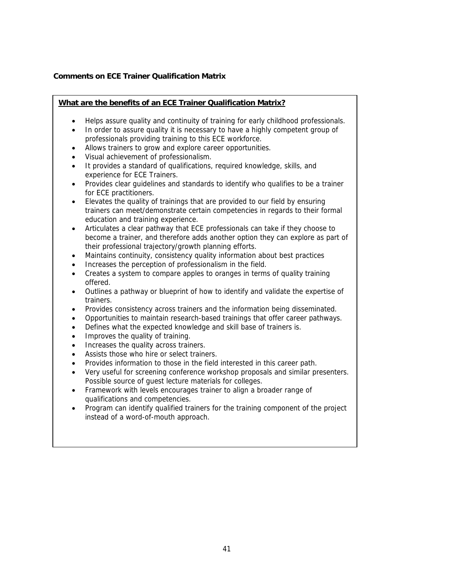## **Comments on ECE Trainer Qualification Matrix**

## **What are the benefits of an ECE Trainer Qualification Matrix?**

- Helps assure quality and continuity of training for early childhood professionals.
- In order to assure quality it is necessary to have a highly competent group of professionals providing training to this ECE workforce.
- Allows trainers to grow and explore career opportunities.
- Visual achievement of professionalism.
- It provides a standard of qualifications, required knowledge, skills, and experience for ECE Trainers.
- Provides clear guidelines and standards to identify who qualifies to be a trainer for ECE practitioners.
- Elevates the quality of trainings that are provided to our field by ensuring trainers can meet/demonstrate certain competencies in regards to their formal education and training experience.
- Articulates a clear pathway that ECE professionals can take if they choose to become a trainer, and therefore adds another option they can explore as part of their professional trajectory/growth planning efforts.
- Maintains continuity, consistency quality information about best practices
- Increases the perception of professionalism in the field.
- Creates a system to compare apples to oranges in terms of quality training offered.
- Outlines a pathway or blueprint of how to identify and validate the expertise of trainers.
- Provides consistency across trainers and the information being disseminated.
- Opportunities to maintain research-based trainings that offer career pathways.
- Defines what the expected knowledge and skill base of trainers is.
- Improves the quality of training.
- Increases the quality across trainers.
- Assists those who hire or select trainers.
- Provides information to those in the field interested in this career path.
- Very useful for screening conference workshop proposals and similar presenters. Possible source of guest lecture materials for colleges.
- Framework with levels encourages trainer to align a broader range of qualifications and competencies.
- Program can identify qualified trainers for the training component of the project instead of a word-of-mouth approach.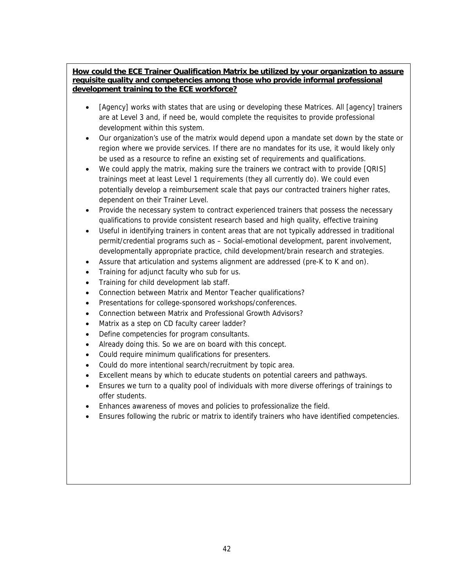## **How could the ECE Trainer Qualification Matrix be utilized by your organization to assure requisite quality and competencies among those who provide informal professional development training to the ECE workforce?**

- [Agency] works with states that are using or developing these Matrices. All [agency] trainers are at Level 3 and, if need be, would complete the requisites to provide professional development within this system.
- Our organization's use of the matrix would depend upon a mandate set down by the state or region where we provide services. If there are no mandates for its use, it would likely only be used as a resource to refine an existing set of requirements and qualifications.
- We could apply the matrix, making sure the trainers we contract with to provide [QRIS] trainings meet at least Level 1 requirements (they all currently do). We could even potentially develop a reimbursement scale that pays our contracted trainers higher rates, dependent on their Trainer Level.
- Provide the necessary system to contract experienced trainers that possess the necessary qualifications to provide consistent research based and high quality, effective training
- Useful in identifying trainers in content areas that are not typically addressed in traditional permit/credential programs such as – Social-emotional development, parent involvement, developmentally appropriate practice, child development/brain research and strategies.
- Assure that articulation and systems alignment are addressed (pre-K to K and on).
- Training for adjunct faculty who sub for us.
- Training for child development lab staff.
- Connection between Matrix and Mentor Teacher qualifications?
- Presentations for college-sponsored workshops/conferences.
- Connection between Matrix and Professional Growth Advisors?
- Matrix as a step on CD faculty career ladder?
- Define competencies for program consultants.
- Already doing this. So we are on board with this concept.
- Could require minimum qualifications for presenters.
- Could do more intentional search/recruitment by topic area.
- Excellent means by which to educate students on potential careers and pathways.
- Ensures we turn to a quality pool of individuals with more diverse offerings of trainings to offer students.
- Enhances awareness of moves and policies to professionalize the field.
- Ensures following the rubric or matrix to identify trainers who have identified competencies.